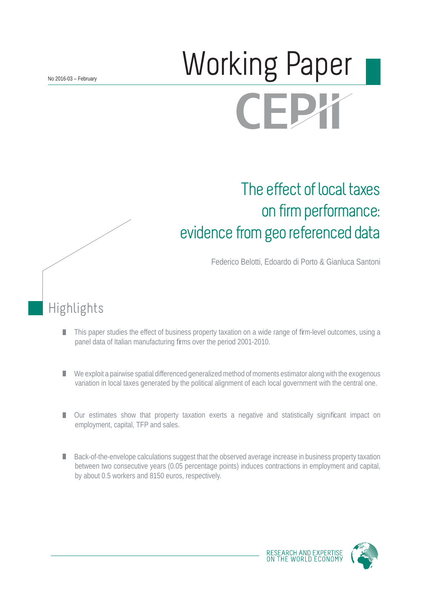# Working Paper **CEP7**

# The effect of local taxes on firm performance: evidence from geo referenced data

Federico Belotti, Edoardo di Porto & Gianluca Santoni

# Highlights

- This paper studies the effect of business property taxation on a wide range of firm-level outcomes, using a П panel data of Italian manufacturing firms over the period 2001-2010.
- We exploit a pairwise spatial differenced generalized method of moments estimator along with the exogenous variation in local taxes generated by the political alignment of each local government with the central one.
- Our estimates show that property taxation exerts a negative and statistically significant impact on employment, capital, TFP and sales.
- Back-of-the-envelope calculations suggest that the observed average increase in business property taxation between two consecutive years (0.05 percentage points) induces contractions in employment and capital, by about 0.5 workers and 8150 euros, respectively.

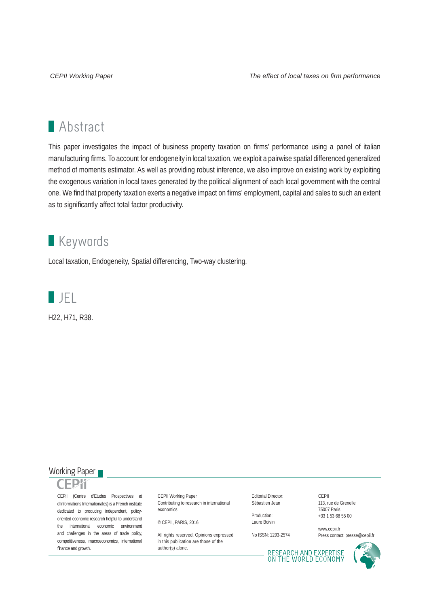# **Abstract**

This paper investigates the impact of business property taxation on firms' performance using a panel of italian manufacturing firms. To account for endogeneity in local taxation, we exploit a pairwise spatial differenced generalized method of moments estimator. As well as providing robust inference, we also improve on existing work by exploiting the exogenous variation in local taxes generated by the political alignment of each local government with the central one. We find that property taxation exerts a negative impact on firms' employment, capital and sales to such an extent as to significantly affect total factor productivity.

# **Keywords**

Local taxation, Endogeneity, Spatial differencing, Two-way clustering.



H22, H71, R38.



CEPII (Centre d'Etudes Prospectives et d'Informations Internationales) is a French institute dedicated to producing independent, policyoriented economic research helpful to understand the international economic environment and challenges in the areas of trade policy, competitiveness, macroeconomics, international finance and growth.

CEPII Working Paper Contributing to research in international economics

© CEPII, PARIS, 2016

All rights reserved. Opinions expressed in this publication are those of the author(s) alone.

Editorial Director: Sébastien Jean

Production: Laure Boivin

No ISSN: 1293-2574

CEPII 113, rue de Grenelle 75007 Paris +33 1 53 68 55 00

www.cepii.fr Press contact: presse@cepii.fr

RESEARCH AND EXPERTISE<br>ON THE WORLD ECONOMY

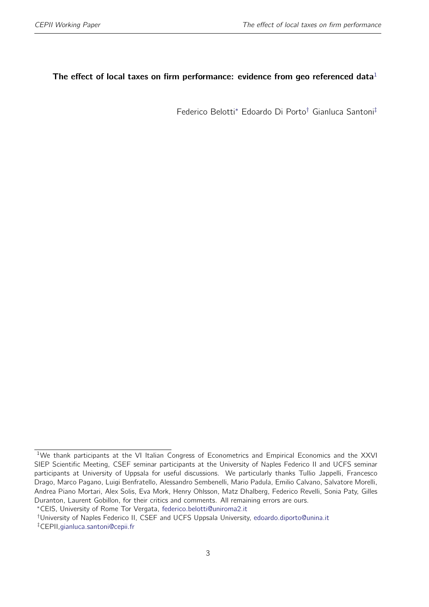# <span id="page-2-0"></span>The effect of local taxes on firm performance: evidence from geo referenced data<sup>1</sup>

Federico Belotti<sup>∗</sup> Edoardo Di Porto† Gianluca Santoni‡

<sup>&</sup>lt;sup>1</sup>We thank participants at the VI Italian Congress of Econometrics and Empirical Economics and the XXVI SIEP Scientific Meeting, CSEF seminar participants at the University of Naples Federico II and UCFS seminar participants at University of Uppsala for useful discussions. We particularly thanks Tullio Jappelli, Francesco Drago, Marco Pagano, Luigi Benfratello, Alessandro Sembenelli, Mario Padula, Emilio Calvano, Salvatore Morelli, Andrea Piano Mortari, Alex Solis, Eva Mork, Henry Ohlsson, Matz Dhalberg, Federico Revelli, Sonia Paty, Gilles Duranton, Laurent Gobillon, for their critics and comments. All remaining errors are ours.

<sup>∗</sup>CEIS, University of Rome Tor Vergata, [federico.belotti@uniroma2.it](mailto:federico.belotti@uniroma2.it)

<sup>†</sup>University of Naples Federico II, CSEF and UCFS Uppsala University, [edoardo.diporto@unina.it](mailto:edoardo.diporto@unina.it)

<sup>‡</sup>CEPII[,gianluca.santoni@cepii.fr](mailto:gianluca.santoni@cepii.fr)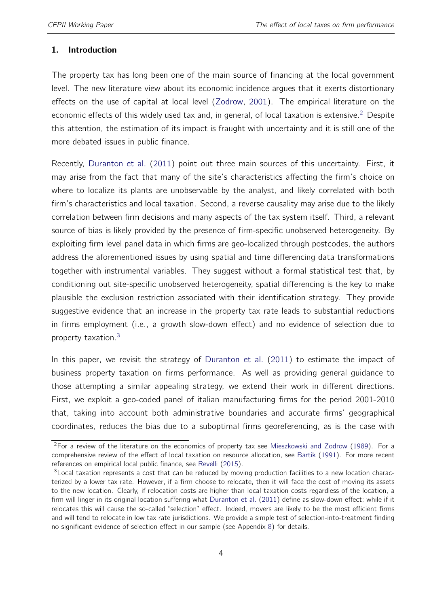#### 1. Introduction

The property tax has long been one of the main source of financing at the local government level. The new literature view about its economic incidence argues that it exerts distortionary effects on the use of capital at local level [\(Zodrow,](#page-24-0) [2001\)](#page-24-0). The empirical literature on the economic effects of this widely used tax and, in general, of local taxation is extensive.<sup>[2](#page-2-0)</sup> Despite this attention, the estimation of its impact is fraught with uncertainty and it is still one of the more debated issues in public finance.

Recently, [Duranton et al.](#page-22-0) [\(2011\)](#page-22-0) point out three main sources of this uncertainty. First, it may arise from the fact that many of the site's characteristics affecting the firm's choice on where to localize its plants are unobservable by the analyst, and likely correlated with both firm's characteristics and local taxation. Second, a reverse causality may arise due to the likely correlation between firm decisions and many aspects of the tax system itself. Third, a relevant source of bias is likely provided by the presence of firm-specific unobserved heterogeneity. By exploiting firm level panel data in which firms are geo-localized through postcodes, the authors address the aforementioned issues by using spatial and time differencing data transformations together with instrumental variables. They suggest without a formal statistical test that, by conditioning out site-specific unobserved heterogeneity, spatial differencing is the key to make plausible the exclusion restriction associated with their identification strategy. They provide suggestive evidence that an increase in the property tax rate leads to substantial reductions in firms employment (i.e., a growth slow-down effect) and no evidence of selection due to property taxation.[3](#page-2-0)

In this paper, we revisit the strategy of [Duranton et al.](#page-22-0) [\(2011\)](#page-22-0) to estimate the impact of business property taxation on firms performance. As well as providing general guidance to those attempting a similar appealing strategy, we extend their work in different directions. First, we exploit a geo-coded panel of italian manufacturing firms for the period 2001-2010 that, taking into account both administrative boundaries and accurate firms' geographical coordinates, reduces the bias due to a suboptimal firms georeferencing, as is the case with

<sup>&</sup>lt;sup>2</sup>For a review of the literature on the economics of property tax see [Mieszkowski and Zodrow](#page-23-0) [\(1989\)](#page-23-0). For a comprehensive review of the effect of local taxation on resource allocation, see [Bartik](#page-22-1) [\(1991\)](#page-22-1). For more recent references on empirical local public finance, see [Revelli](#page-23-1) [\(2015\)](#page-23-1).

<sup>3</sup>Local taxation represents a cost that can be reduced by moving production facilities to a new location characterized by a lower tax rate. However, if a firm choose to relocate, then it will face the cost of moving its assets to the new location. Clearly, if relocation costs are higher than local taxation costs regardless of the location, a firm will linger in its original location suffering what [Duranton et al.](#page-22-0) [\(2011\)](#page-22-0) define as slow-down effect; while if it relocates this will cause the so-called "selection" effect. Indeed, movers are likely to be the most efficient firms and will tend to relocate in low tax rate jurisdictions. We provide a simple test of selection-into-treatment finding no significant evidence of selection effect in our sample (see Appendix [8\)](#page-30-0) for details.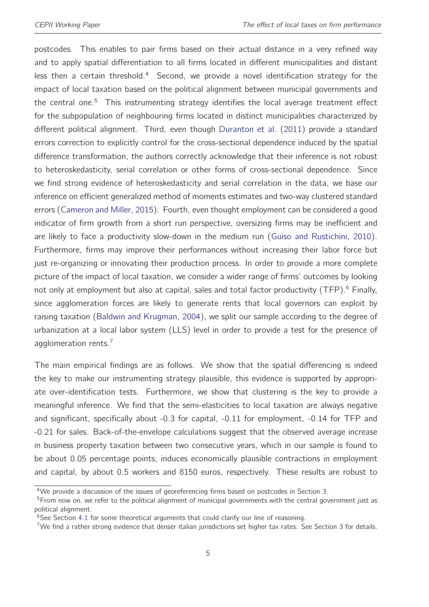postcodes. This enables to pair firms based on their actual distance in a very refined way and to apply spatial differentiation to all firms located in different municipalities and distant less then a certain threshold.<sup>[4](#page-2-0)</sup> Second, we provide a novel identification strategy for the impact of local taxation based on the political alignment between municipal governments and the central one. $5$  This instrumenting strategy identifies the local average treatment effect for the subpopulation of neighbouring firms located in distinct municipalities characterized by different political alignment. Third, even though [Duranton et al.](#page-22-0) [\(2011\)](#page-22-0) provide a standard errors correction to explicitly control for the cross-sectional dependence induced by the spatial difference transformation, the authors correctly acknowledge that their inference is not robust to heteroskedasticity, serial correlation or other forms of cross-sectional dependence. Since we find strong evidence of heteroskedasticity and serial correlation in the data, we base our inference on efficient generalized method of moments estimates and two-way clustered standard errors [\(Cameron and Miller,](#page-22-2) [2015\)](#page-22-2). Fourth, even thought employment can be considered a good indicator of firm growth from a short run perspective, oversizing firms may be inefficient and are likely to face a productivity slow-down in the medium run [\(Guiso and Rustichini,](#page-22-3) [2010\)](#page-22-3). Furthermore, firms may improve their performances without increasing their labor force but just re-organizing or innovating their production process. In order to provide a more complete picture of the impact of local taxation, we consider a wider range of firms' outcomes by looking not only at employment but also at capital, sales and total factor productivity (TFP).<sup>[6](#page-2-0)</sup> Finally, since agglomeration forces are likely to generate rents that local governors can exploit by raising taxation [\(Baldwin and Krugman,](#page-22-4) [2004\)](#page-22-4), we split our sample according to the degree of urbanization at a local labor system (LLS) level in order to provide a test for the presence of agglomeration rents.<sup>[7](#page-2-0)</sup>

The main empirical findings are as follows. We show that the spatial differencing is indeed the key to make our instrumenting strategy plausible, this evidence is supported by appropriate over-identification tests. Furthermore, we show that clustering is the key to provide a meaningful inference. We find that the semi-elasticities to local taxation are always negative and significant, specifically about -0.3 for capital, -0.11 for employment, -0.14 for TFP and -0.21 for sales. Back-of-the-envelope calculations suggest that the observed average increase in business property taxation between two consecutive years, which in our sample is found to be about 0.05 percentage points, induces economically plausible contractions in employment and capital, by about 0.5 workers and 8150 euros, respectively. These results are robust to

<sup>4</sup>We provide a discussion of the issues of georeferencing firms based on postcodes in Section [3.](#page-6-0)

<sup>&</sup>lt;sup>5</sup>From now on, we refer to the political alignment of municipal governments with the central government just as political alignment.

<sup>&</sup>lt;sup>6</sup>See Section [4.1](#page-9-0) for some theoretical arguments that could clarify our line of reasoning.

<sup>&</sup>lt;sup>7</sup>We find a rather strong evidence that denser italian jurisdictions set higher tax rates. See Section [3](#page-6-0) for details.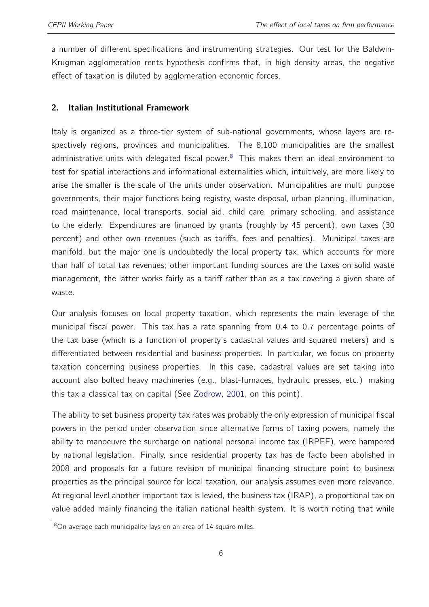a number of different specifications and instrumenting strategies. Our test for the Baldwin-Krugman agglomeration rents hypothesis confirms that, in high density areas, the negative effect of taxation is diluted by agglomeration economic forces.

# 2. Italian Institutional Framework

Italy is organized as a three-tier system of sub-national governments, whose layers are respectively regions, provinces and municipalities. The 8,100 municipalities are the smallest administrative units with delegated fiscal power.<sup>[8](#page-2-0)</sup> This makes them an ideal environment to test for spatial interactions and informational externalities which, intuitively, are more likely to arise the smaller is the scale of the units under observation. Municipalities are multi purpose governments, their major functions being registry, waste disposal, urban planning, illumination, road maintenance, local transports, social aid, child care, primary schooling, and assistance to the elderly. Expenditures are financed by grants (roughly by 45 percent), own taxes (30 percent) and other own revenues (such as tariffs, fees and penalties). Municipal taxes are manifold, but the major one is undoubtedly the local property tax, which accounts for more than half of total tax revenues; other important funding sources are the taxes on solid waste management, the latter works fairly as a tariff rather than as a tax covering a given share of waste.

Our analysis focuses on local property taxation, which represents the main leverage of the municipal fiscal power. This tax has a rate spanning from 0.4 to 0.7 percentage points of the tax base (which is a function of property's cadastral values and squared meters) and is differentiated between residential and business properties. In particular, we focus on property taxation concerning business properties. In this case, cadastral values are set taking into account also bolted heavy machineries (e.g., blast-furnaces, hydraulic presses, etc.) making this tax a classical tax on capital (See [Zodrow,](#page-24-0) [2001,](#page-24-0) on this point).

The ability to set business property tax rates was probably the only expression of municipal fiscal powers in the period under observation since alternative forms of taxing powers, namely the ability to manoeuvre the surcharge on national personal income tax (IRPEF), were hampered by national legislation. Finally, since residential property tax has de facto been abolished in 2008 and proposals for a future revision of municipal financing structure point to business properties as the principal source for local taxation, our analysis assumes even more relevance. At regional level another important tax is levied, the business tax (IRAP), a proportional tax on value added mainly financing the italian national health system. It is worth noting that while

 $8$ On average each municipality lays on an area of 14 square miles.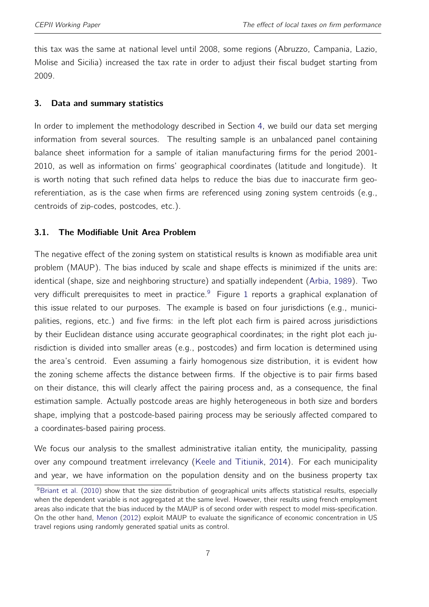this tax was the same at national level until 2008, some regions (Abruzzo, Campania, Lazio, Molise and Sicilia) increased the tax rate in order to adjust their fiscal budget starting from 2009.

# <span id="page-6-0"></span>3. Data and summary statistics

In order to implement the methodology described in Section [4,](#page-9-1) we build our data set merging information from several sources. The resulting sample is an unbalanced panel containing balance sheet information for a sample of italian manufacturing firms for the period 2001- 2010, as well as information on firms' geographical coordinates (latitude and longitude). It is worth noting that such refined data helps to reduce the bias due to inaccurate firm georeferentiation, as is the case when firms are referenced using zoning system centroids (e.g., centroids of zip-codes, postcodes, etc.).

# 3.1. The Modifiable Unit Area Problem

The negative effect of the zoning system on statistical results is known as modifiable area unit problem (MAUP). The bias induced by scale and shape effects is minimized if the units are: identical (shape, size and neighboring structure) and spatially independent [\(Arbia,](#page-22-5) [1989\)](#page-22-5). Two very difficult prerequisites to meet in practice.<sup>[9](#page-2-0)</sup> Figure [1](#page-28-0) reports a graphical explanation of this issue related to our purposes. The example is based on four jurisdictions (e.g., municipalities, regions, etc.) and five firms: in the left plot each firm is paired across jurisdictions by their Euclidean distance using accurate geographical coordinates; in the right plot each jurisdiction is divided into smaller areas (e.g., postcodes) and firm location is determined using the area's centroid. Even assuming a fairly homogenous size distribution, it is evident how the zoning scheme affects the distance between firms. If the objective is to pair firms based on their distance, this will clearly affect the pairing process and, as a consequence, the final estimation sample. Actually postcode areas are highly heterogeneous in both size and borders shape, implying that a postcode-based pairing process may be seriously affected compared to a coordinates-based pairing process.

We focus our analysis to the smallest administrative italian entity, the municipality, passing over any compound treatment irrelevancy [\(Keele and Titiunik,](#page-23-2) [2014\)](#page-23-2). For each municipality and year, we have information on the population density and on the business property tax

<sup>&</sup>lt;sup>9</sup>[Briant et al.](#page-22-6) [\(2010\)](#page-22-6) show that the size distribution of geographical units affects statistical results, especially when the dependent variable is not aggregated at the same level. However, their results using french employment areas also indicate that the bias induced by the MAUP is of second order with respect to model miss-specification. On the other hand, [Menon](#page-23-3) [\(2012\)](#page-23-3) exploit MAUP to evaluate the significance of economic concentration in US travel regions using randomly generated spatial units as control.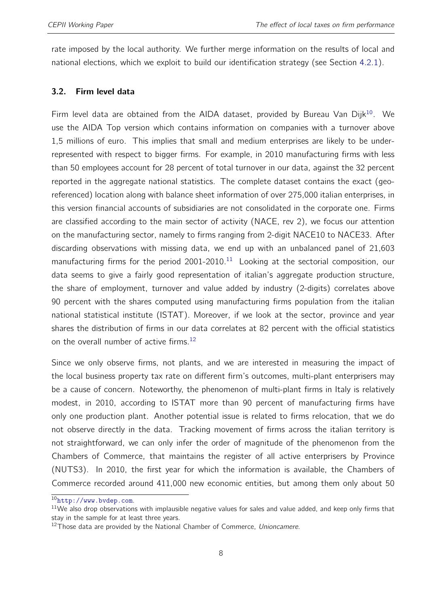rate imposed by the local authority. We further merge information on the results of local and national elections, which we exploit to build our identification strategy (see Section [4.2.1\)](#page-15-0).

# <span id="page-7-0"></span>3.2. Firm level data

Firm level data are obtained from the AIDA dataset, provided by Bureau Van Dijk<sup>[10](#page-2-0)</sup>. We use the AIDA Top version which contains information on companies with a turnover above 1,5 millions of euro. This implies that small and medium enterprises are likely to be underrepresented with respect to bigger firms. For example, in 2010 manufacturing firms with less than 50 employees account for 28 percent of total turnover in our data, against the 32 percent reported in the aggregate national statistics. The complete dataset contains the exact (georeferenced) location along with balance sheet information of over 275,000 italian enterprises, in this version financial accounts of subsidiaries are not consolidated in the corporate one. Firms are classified according to the main sector of activity (NACE, rev 2), we focus our attention on the manufacturing sector, namely to firms ranging from 2-digit NACE10 to NACE33. After discarding observations with missing data, we end up with an unbalanced panel of 21,603 manufacturing firms for the period  $2001-2010$ .<sup>[11](#page-2-0)</sup> Looking at the sectorial composition, our data seems to give a fairly good representation of italian's aggregate production structure, the share of employment, turnover and value added by industry (2-digits) correlates above 90 percent with the shares computed using manufacturing firms population from the italian national statistical institute (ISTAT). Moreover, if we look at the sector, province and year shares the distribution of firms in our data correlates at 82 percent with the official statistics on the overall number of active firms.<sup>[12](#page-2-0)</sup>

Since we only observe firms, not plants, and we are interested in measuring the impact of the local business property tax rate on different firm's outcomes, multi-plant enterprisers may be a cause of concern. Noteworthy, the phenomenon of multi-plant firms in Italy is relatively modest, in 2010, according to ISTAT more than 90 percent of manufacturing firms have only one production plant. Another potential issue is related to firms relocation, that we do not observe directly in the data. Tracking movement of firms across the italian territory is not straightforward, we can only infer the order of magnitude of the phenomenon from the Chambers of Commerce, that maintains the register of all active enterprisers by Province (NUTS3). In 2010, the first year for which the information is available, the Chambers of Commerce recorded around 411,000 new economic entities, but among them only about 50

<sup>10</sup><http://www.bvdep.com>.

 $11$ We also drop observations with implausible negative values for sales and value added, and keep only firms that stay in the sample for at least three years.

 $12$ Those data are provided by the National Chamber of Commerce, Unioncamere.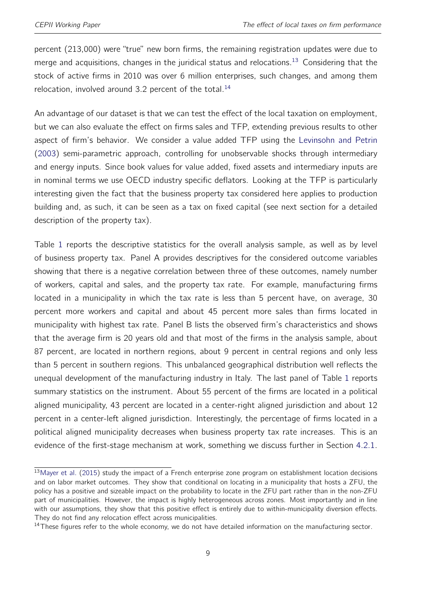percent (213,000) were "true" new born firms, the remaining registration updates were due to merge and acquisitions, changes in the juridical status and relocations.<sup>[13](#page-2-0)</sup> Considering that the stock of active firms in 2010 was over 6 million enterprises, such changes, and among them relocation, involved around 3.2 percent of the total.<sup>[14](#page-2-0)</sup>

An advantage of our dataset is that we can test the effect of the local taxation on employment, but we can also evaluate the effect on firms sales and TFP, extending previous results to other aspect of firm's behavior. We consider a value added TFP using the [Levinsohn and Petrin](#page-23-4) [\(2003\)](#page-23-4) semi-parametric approach, controlling for unobservable shocks through intermediary and energy inputs. Since book values for value added, fixed assets and intermediary inputs are in nominal terms we use OECD industry specific deflators. Looking at the TFP is particularly interesting given the fact that the business property tax considered here applies to production building and, as such, it can be seen as a tax on fixed capital (see next section for a detailed description of the property tax).

Table [1](#page-25-0) reports the descriptive statistics for the overall analysis sample, as well as by level of business property tax. Panel A provides descriptives for the considered outcome variables showing that there is a negative correlation between three of these outcomes, namely number of workers, capital and sales, and the property tax rate. For example, manufacturing firms located in a municipality in which the tax rate is less than 5 percent have, on average, 30 percent more workers and capital and about 45 percent more sales than firms located in municipality with highest tax rate. Panel B lists the observed firm's characteristics and shows that the average firm is 20 years old and that most of the firms in the analysis sample, about 87 percent, are located in northern regions, about 9 percent in central regions and only less than 5 percent in southern regions. This unbalanced geographical distribution well reflects the unequal development of the manufacturing industry in Italy. The last panel of Table [1](#page-25-0) reports summary statistics on the instrument. About 55 percent of the firms are located in a political aligned municipality, 43 percent are located in a center-right aligned jurisdiction and about 12 percent in a center-left aligned jurisdiction. Interestingly, the percentage of firms located in a political aligned municipality decreases when business property tax rate increases. This is an evidence of the first-stage mechanism at work, something we discuss further in Section [4.2.1.](#page-15-0)

<sup>13</sup> [Mayer et al.](#page-23-5) [\(2015\)](#page-23-5) study the impact of a French enterprise zone program on establishment location decisions and on labor market outcomes. They show that conditional on locating in a municipality that hosts a ZFU, the policy has a positive and sizeable impact on the probability to locate in the ZFU part rather than in the non-ZFU part of municipalities. However, the impact is highly heterogeneous across zones. Most importantly and in line with our assumptions, they show that this positive effect is entirely due to within-municipality diversion effects. They do not find any relocation effect across municipalities.

 $14$ These figures refer to the whole economy, we do not have detailed information on the manufacturing sector.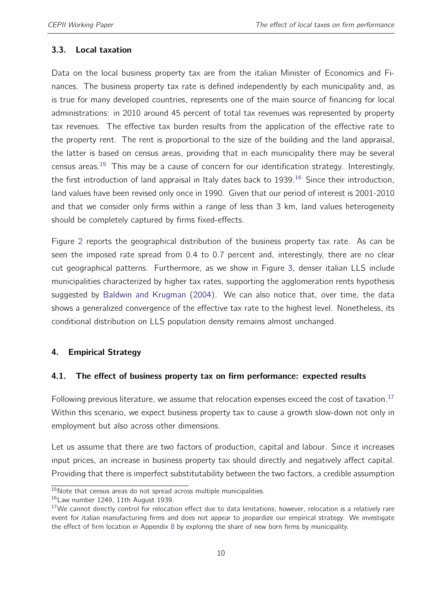# 3.3. Local taxation

Data on the local business property tax are from the italian Minister of Economics and Finances. The business property tax rate is defined independently by each municipality and, as is true for many developed countries, represents one of the main source of financing for local administrations: in 2010 around 45 percent of total tax revenues was represented by property tax revenues. The effective tax burden results from the application of the effective rate to the property rent. The rent is proportional to the size of the building and the land appraisal, the latter is based on census areas, providing that in each municipality there may be several census areas.<sup>[15](#page-2-0)</sup> This may be a cause of concern for our identification strategy. Interestingly, the first introduction of land appraisal in Italy dates back to  $1939$ .<sup>[16](#page-2-0)</sup> Since their introduction, land values have been revised only once in 1990. Given that our period of interest is 2001-2010 and that we consider only firms within a range of less than 3 km, land values heterogeneity should be completely captured by firms fixed-effects.

Figure [2](#page-28-1) reports the geographical distribution of the business property tax rate. As can be seen the imposed rate spread from 0.4 to 0.7 percent and, interestingly, there are no clear cut geographical patterns. Furthermore, as we show in Figure [3,](#page-29-0) denser italian LLS include municipalities characterized by higher tax rates, supporting the agglomeration rents hypothesis suggested by [Baldwin and Krugman](#page-22-4) [\(2004\)](#page-22-4). We can also notice that, over time, the data shows a generalized convergence of the effective tax rate to the highest level. Nonetheless, its conditional distribution on LLS population density remains almost unchanged.

# <span id="page-9-1"></span>4. Empirical Strategy

#### <span id="page-9-0"></span>4.1. The effect of business property tax on firm performance: expected results

Following previous literature, we assume that relocation expenses exceed the cost of taxation.<sup>[17](#page-2-0)</sup> Within this scenario, we expect business property tax to cause a growth slow-down not only in employment but also across other dimensions.

Let us assume that there are two factors of production, capital and labour. Since it increases input prices, an increase in business property tax should directly and negatively affect capital. Providing that there is imperfect substitutability between the two factors, a credible assumption

<sup>&</sup>lt;sup>15</sup>Note that census areas do not spread across multiple municipalities.

<sup>16</sup>Law number 1249, 11th August 1939.

 $17$ We cannot directly control for relocation effect due to data limitations; however, relocation is a relatively rare event for italian manufacturing firms and does not appear to jeopardize our empirical strategy. We investigate the effect of firm location in Appendix [8](#page-30-0) by exploring the share of new born firms by municipality.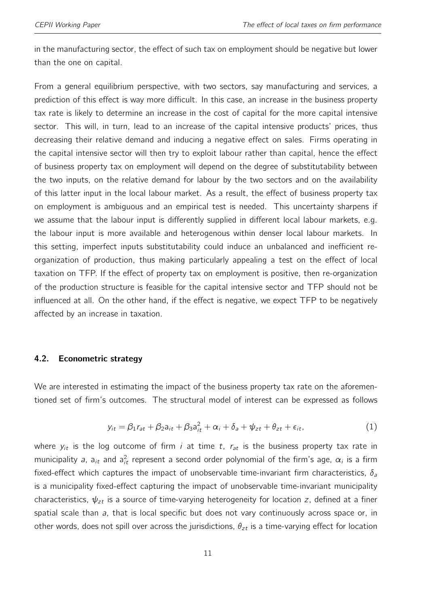in the manufacturing sector, the effect of such tax on employment should be negative but lower than the one on capital.

From a general equilibrium perspective, with two sectors, say manufacturing and services, a prediction of this effect is way more difficult. In this case, an increase in the business property tax rate is likely to determine an increase in the cost of capital for the more capital intensive sector. This will, in turn, lead to an increase of the capital intensive products' prices, thus decreasing their relative demand and inducing a negative effect on sales. Firms operating in the capital intensive sector will then try to exploit labour rather than capital, hence the effect of business property tax on employment will depend on the degree of substitutability between the two inputs, on the relative demand for labour by the two sectors and on the availability of this latter input in the local labour market. As a result, the effect of business property tax on employment is ambiguous and an empirical test is needed. This uncertainty sharpens if we assume that the labour input is differently supplied in different local labour markets, e.g. the labour input is more available and heterogenous within denser local labour markets. In this setting, imperfect inputs substitutability could induce an unbalanced and inefficient reorganization of production, thus making particularly appealing a test on the effect of local taxation on TFP. If the effect of property tax on employment is positive, then re-organization of the production structure is feasible for the capital intensive sector and TFP should not be influenced at all. On the other hand, if the effect is negative, we expect TFP to be negatively affected by an increase in taxation.

## <span id="page-10-1"></span>4.2. Econometric strategy

<span id="page-10-0"></span>We are interested in estimating the impact of the business property tax rate on the aforementioned set of firm's outcomes. The structural model of interest can be expressed as follows

$$
y_{it} = \beta_1 r_{at} + \beta_2 a_{it} + \beta_3 a_{it}^2 + \alpha_i + \delta_a + \psi_{zt} + \theta_{zt} + \epsilon_{it},
$$
\n(1)

where  $y_{it}$  is the log outcome of firm *i* at time t,  $r_{at}$  is the business property tax rate in municipality a,  $a_{it}$  and  $a_{it}^2$  represent a second order polynomial of the firm's age,  $\alpha_i$  is a firm fixed-effect which captures the impact of unobservable time-invariant firm characteristics,  $\delta_a$ is a municipality fixed-effect capturing the impact of unobservable time-invariant municipality characteristics,  $\psi_{zt}$  is a source of time-varying heterogeneity for location z, defined at a finer spatial scale than a, that is local specific but does not vary continuously across space or, in other words, does not spill over across the jurisdictions,  $\theta_{zt}$  is a time-varying effect for location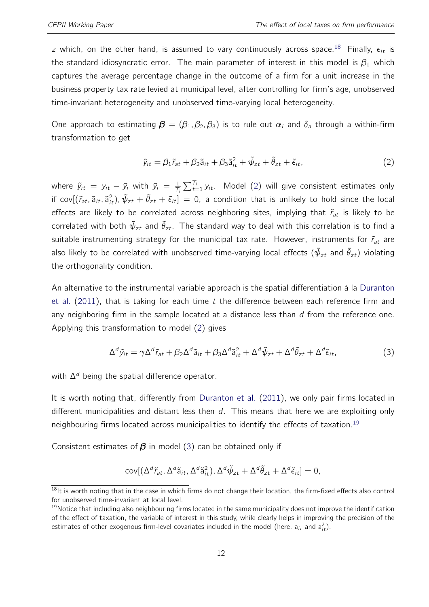z which, on the other hand, is assumed to vary continuously across space.<sup>[18](#page-2-0)</sup> Finally,  $\epsilon_{it}$  is the standard idiosyncratic error. The main parameter of interest in this model is  $\beta_1$  which captures the average percentage change in the outcome of a firm for a unit increase in the business property tax rate levied at municipal level, after controlling for firm's age, unobserved time-invariant heterogeneity and unobserved time-varying local heterogeneity.

One approach to estimating  $\boldsymbol{\beta} = (\beta_1, \beta_2, \beta_3)$  is to rule out  $\alpha_i$  and  $\delta_a$  through a within-firm transformation to get

<span id="page-11-0"></span>
$$
\tilde{y}_{it} = \beta_1 \tilde{r}_{at} + \beta_2 \tilde{a}_{it} + \beta_3 \tilde{a}_{it}^2 + \tilde{\psi}_{zt} + \tilde{\theta}_{zt} + \tilde{\epsilon}_{it},
$$
\n(2)

where  $\tilde{y}_{it} = y_{it} - \bar{y}_i$  with  $\bar{y}_i = \frac{1}{T}$  $\frac{1}{T_i}\sum_{t=1}^{T_i}y_{it}$ . Model [\(2\)](#page-11-0) will give consistent estimates only if cov $[(\tilde r_{at},\tilde a_{it},\tilde a_{it}^2),\tilde\psi_{zt}+\tilde\theta_{zt}+\tilde\epsilon_{it}]\,=\,0.$  a condition that is unlikely to hold since the local effects are likely to be correlated across neighboring sites, implying that  $\tilde{r}_{at}$  is likely to be correlated with both  $\tilde{\psi}_{zt}$  and  $\tilde{\theta}_{zt}$ . The standard way to deal with this correlation is to find a suitable instrumenting strategy for the municipal tax rate. However, instruments for  $\tilde{r}_{at}$  are also likely to be correlated with unobserved time-varying local effects  $(\tilde{\psi}_{zt}$  and  $\tilde{\theta}_{zt})$  violating the orthogonality condition.

An alternative to the instrumental variable approach is the spatial differentiation à la [Duranton](#page-22-0) [et al.](#page-22-0) [\(2011\)](#page-22-0), that is taking for each time t the difference between each reference firm and any neighboring firm in the sample located at a distance less than  $d$  from the reference one. Applying this transformation to model [\(2\)](#page-11-0) gives

<span id="page-11-1"></span>
$$
\Delta^d \tilde{y}_{it} = \gamma \Delta^d \tilde{r}_{at} + \beta_2 \Delta^d \tilde{a}_{it} + \beta_3 \Delta^d \tilde{a}_{it}^2 + \Delta^d \tilde{\psi}_{zt} + \Delta^d \tilde{\theta}_{zt} + \Delta^d \tilde{\epsilon}_{it},
$$
\n(3)

with  $\Delta^d$  being the spatial difference operator.

It is worth noting that, differently from [Duranton et al.](#page-22-0) [\(2011\)](#page-22-0), we only pair firms located in different municipalities and distant less then  $d$ . This means that here we are exploiting only neighbouring firms located across municipalities to identify the effects of taxation.<sup>[19](#page-2-0)</sup>

Consistent estimates of  $\beta$  in model [\(3\)](#page-11-1) can be obtained only if

<span id="page-11-2"></span>
$$
\text{cov}[(\Delta^d \tilde{r}_{at}, \Delta^d \tilde{a}_{it}, \Delta^d \tilde{a}_{it}^2), \Delta^d \tilde{\psi}_{zt} + \Delta^d \tilde{\theta}_{zt} + \Delta^d \tilde{\epsilon}_{it}] = 0,
$$

 $18$ It is worth noting that in the case in which firms do not change their location, the firm-fixed effects also control for unobserved time-invariant at local level.

 $19$ Notice that including also neighbouring firms located in the same municipality does not improve the identification of the effect of taxation, the variable of interest in this study, while clearly helps in improving the precision of the estimates of other exogenous firm-level covariates included in the model (here, a<sub>it</sub> and a $^2_{it}$ ).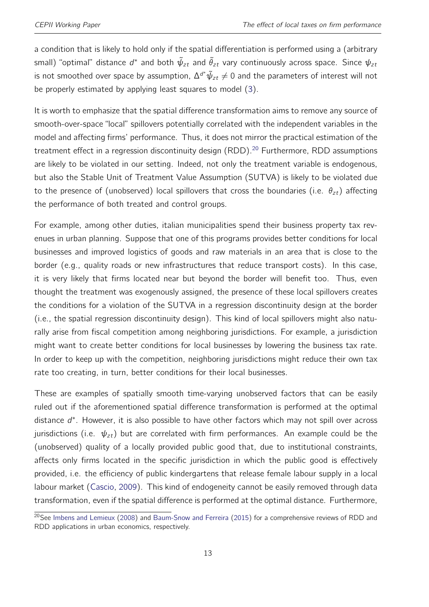a condition that is likely to hold only if the spatial differentiation is performed using a (arbitrary small) "optimal" distance  $d^*$  and both  $\tilde{\psi}_{zt}$  and  $\tilde{\theta}_{zt}$  vary continuously across space. Since  $\psi_{zt}$ is not smoothed over space by assumption,  $\Delta^{d^*}\tilde{\psi}_{zt}\neq 0$  and the parameters of interest will not be properly estimated by applying least squares to model [\(3\)](#page-11-1).

It is worth to emphasize that the spatial difference transformation aims to remove any source of smooth-over-space "local" spillovers potentially correlated with the independent variables in the model and affecting firms' performance. Thus, it does not mirror the practical estimation of the treatment effect in a regression discontinuity design (RDD).<sup>[20](#page-2-0)</sup> Furthermore, RDD assumptions are likely to be violated in our setting. Indeed, not only the treatment variable is endogenous, but also the Stable Unit of Treatment Value Assumption (SUTVA) is likely to be violated due to the presence of (unobserved) local spillovers that cross the boundaries (i.e.  $\theta_{zt}$ ) affecting the performance of both treated and control groups.

For example, among other duties, italian municipalities spend their business property tax revenues in urban planning. Suppose that one of this programs provides better conditions for local businesses and improved logistics of goods and raw materials in an area that is close to the border (e.g., quality roads or new infrastructures that reduce transport costs). In this case, it is very likely that firms located near but beyond the border will benefit too. Thus, even thought the treatment was exogenously assigned, the presence of these local spillovers creates the conditions for a violation of the SUTVA in a regression discontinuity design at the border (i.e., the spatial regression discontinuity design). This kind of local spillovers might also naturally arise from fiscal competition among neighboring jurisdictions. For example, a jurisdiction might want to create better conditions for local businesses by lowering the business tax rate. In order to keep up with the competition, neighboring jurisdictions might reduce their own tax rate too creating, in turn, better conditions for their local businesses.

These are examples of spatially smooth time-varying unobserved factors that can be easily ruled out if the aforementioned spatial difference transformation is performed at the optimal distance  $d^*$ . However, it is also possible to have other factors which may not spill over across jurisdictions (i.e.  $\psi_{zt}$ ) but are correlated with firm performances. An example could be the (unobserved) quality of a locally provided public good that, due to institutional constraints, affects only firms located in the specific jurisdiction in which the public good is effectively provided, i.e. the efficiency of public kindergartens that release female labour supply in a local labour market [\(Cascio,](#page-22-7) [2009\)](#page-22-7). This kind of endogeneity cannot be easily removed through data transformation, even if the spatial difference is performed at the optimal distance. Furthermore,

<sup>&</sup>lt;sup>20</sup>See [Imbens and Lemieux](#page-23-6) [\(2008\)](#page-23-6) and [Baum-Snow and Ferreira](#page-22-8) [\(2015\)](#page-22-8) for a comprehensive reviews of RDD and RDD applications in urban economics, respectively.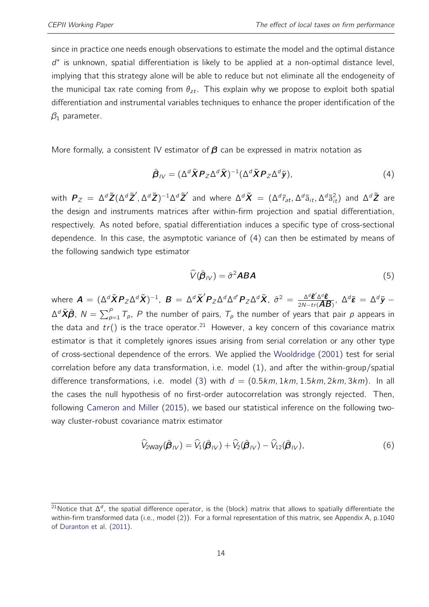since in practice one needs enough observations to estimate the model and the optimal distance d ∗ is unknown, spatial differentiation is likely to be applied at a non-optimal distance level, implying that this strategy alone will be able to reduce but not eliminate all the endogeneity of the municipal tax rate coming from  $\theta_{zt}$ . This explain why we propose to exploit both spatial differentiation and instrumental variables techniques to enhance the proper identification of the  $\beta_1$  parameter.

More formally, a consistent IV estimator of  $\beta$  can be expressed in matrix notation as

$$
\hat{\boldsymbol{\beta}}_{IV} = (\Delta^d \tilde{\boldsymbol{X}} \boldsymbol{P}_{Z} \Delta^d \tilde{\boldsymbol{X}})^{-1} (\Delta^d \tilde{\boldsymbol{X}} \boldsymbol{P}_{Z} \Delta^d \tilde{\boldsymbol{y}}),
$$
\n(4)

with  $\bm{P}_Z~=~\Delta^d \tilde{\bm{Z}} (\Delta^d \tilde{\bm{Z}}', \Delta^d \tilde{\bm{Z}}')^{-1} \Delta^d \tilde{\bm{Z}}'$  and where  $\Delta^d \tilde{\bm{X}}~=~(\Delta^d \tilde{r}_{at}, \Delta^d \tilde{\mathsf{a}}_{it}, \Delta^d \tilde{\mathsf{a}}_{it}^2)$  and  $\Delta^d \tilde{\bm{Z}}$  are the design and instruments matrices after within-firm projection and spatial differentiation, respectively. As noted before, spatial differentiation induces a specific type of cross-sectional dependence. In this case, the asymptotic variance of [\(4\)](#page-11-2) can then be estimated by means of the following sandwich type estimator

$$
\widehat{V}(\widehat{\boldsymbol{\beta}}_{IV}) = \widehat{\sigma}^2 \mathbf{A} \mathbf{B} \mathbf{A}
$$
 (5)

where  $\bm{A}=(\Delta^d\tilde{\bm{X}}\bm{P}_Z\Delta^d\tilde{\bm{X}})^{-1},\ \bm{B}=\Delta^d\tilde{\bm{X}}'\bm{P}_Z\Delta^d\Delta^{d'}\bm{P}_Z\Delta^d\tilde{\bm{X}},\ \hat{\sigma}^2=\frac{\Delta^d\tilde{\bm{\mathcal{E}}}'\Delta^d\tilde{\bm{\mathcal{E}}}}{\Im M}\bm{E}'\bm{A}\bm{P}_Z\bm{X}}$  $\frac{\Delta^d \boldsymbol{\mathcal{E}} ~\Delta^d \boldsymbol{\mathcal{E}}}{2N-tr(\boldsymbol{A}\boldsymbol{B})},~\Delta^d \boldsymbol{\widetilde{\epsilon}}~=~\Delta^d \boldsymbol{\widetilde{y}}~-\nonumber$ ∆d $\tilde{\bm{\chi}}\hat{\bm{\beta}},\;N=\sum_{p=1}^P T_p,\;P$  the number of pairs,  $T_p$  the number of years that pair  $p$  appears in the data and  $tr()$  is the trace operator.<sup>[21](#page-2-0)</sup> However, a key concern of this covariance matrix estimator is that it completely ignores issues arising from serial correlation or any other type of cross-sectional dependence of the errors. We applied the [Wooldridge](#page-23-7) [\(2001\)](#page-23-7) test for serial correlation before any data transformation, i.e. model [\(1\)](#page-10-0), and after the within-group/spatial difference transformations, i.e. model [\(3\)](#page-11-1) with  $d = (0.5km, 1km, 1.5km, 2km, 3km)$ . In all the cases the null hypothesis of no first-order autocorrelation was strongly rejected. Then, following [Cameron and Miller](#page-22-2) [\(2015\)](#page-22-2), we based our statistical inference on the following twoway cluster-robust covariance matrix estimator

<span id="page-13-0"></span>
$$
\widehat{V}_{2\text{way}}(\widehat{\boldsymbol{\beta}}_{IV}) = \widehat{V}_{1}(\widehat{\boldsymbol{\beta}}_{IV}) + \widehat{V}_{2}(\widehat{\boldsymbol{\beta}}_{IV}) - \widehat{V}_{12}(\widehat{\boldsymbol{\beta}}_{IV}),
$$
\n(6)

<sup>&</sup>lt;sup>21</sup>Notice that  $\Delta^d$ , the spatial difference operator, is the (block) matrix that allows to spatially differentiate the within-firm transformed data (i.e., model [\(2\)](#page-11-0)). For a formal representation of this matrix, see Appendix A, p.1040 of [Duranton et al.](#page-22-0) [\(2011\)](#page-22-0).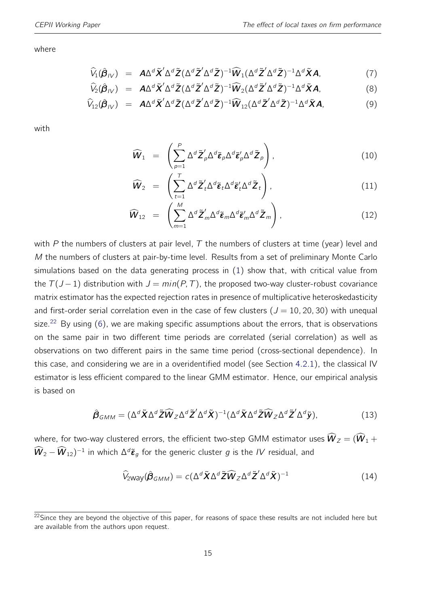where

$$
\widehat{V}_1(\widehat{\boldsymbol{\beta}}_{\text{IV}}) = \mathbf{A}\Delta^d \widetilde{\mathbf{X}}' \Delta^d \widetilde{\mathbf{Z}} (\Delta^d \widetilde{\mathbf{Z}}' \Delta^d \widetilde{\mathbf{Z}})^{-1} \widehat{\mathbf{W}}_1 (\Delta^d \widetilde{\mathbf{Z}}' \Delta^d \widetilde{\mathbf{Z}})^{-1} \Delta^d \widetilde{\mathbf{X}} \mathbf{A}, \tag{7}
$$

$$
\widehat{V}_2(\widehat{\boldsymbol{\beta}}_{IV}) = \mathbf{A}\Delta^d \widetilde{\mathbf{X}}' \Delta^d \widetilde{\mathbf{Z}} (\Delta^d \widetilde{\mathbf{Z}}' \Delta^d \widetilde{\mathbf{Z}})^{-1} \widehat{\mathbf{W}}_2 (\Delta^d \widetilde{\mathbf{Z}}' \Delta^d \widetilde{\mathbf{Z}})^{-1} \Delta^d \widetilde{\mathbf{X}} \mathbf{A}, \tag{8}
$$

$$
\widehat{V}_{12}(\widehat{\boldsymbol{\beta}}_{IV}) = \mathbf{A}\Delta^{d}\widetilde{\mathbf{X}}'\Delta^{d}\widetilde{\mathbf{Z}}(\Delta^{d}\widetilde{\mathbf{Z}}'\Delta^{d}\widetilde{\mathbf{Z}})^{-1}\widehat{\mathbf{W}}_{12}(\Delta^{d}\widetilde{\mathbf{Z}}'\Delta^{d}\widetilde{\mathbf{Z}})^{-1}\Delta^{d}\widetilde{\mathbf{X}}\mathbf{A},
$$
\n(9)

with

$$
\widehat{W}_1 = \left( \sum_{\rho=1}^P \Delta^d \widetilde{Z}'_{\rho} \Delta^d \widetilde{\boldsymbol{\epsilon}}_{\rho} \Delta^d \widetilde{\boldsymbol{\epsilon}}'_{\rho} \Delta^d \widetilde{Z}_{\rho} \right), \qquad (10)
$$

$$
\widehat{\boldsymbol{W}}_2 = \left( \sum_{t=1}^T \Delta^d \widetilde{\boldsymbol{Z}}_t' \Delta^d \widetilde{\boldsymbol{\varepsilon}}_t \Delta^d \widetilde{\boldsymbol{\varepsilon}}_t' \Delta^d \widetilde{\boldsymbol{Z}}_t \right), \tag{11}
$$

$$
\widehat{W}_{12} = \left( \sum_{m=1}^{M} \Delta^{d} \widetilde{Z}'_{m} \Delta^{d} \widetilde{\boldsymbol{\epsilon}}_{m} \Delta^{d} \widetilde{\boldsymbol{\epsilon}}'_{m} \Delta^{d} \widetilde{Z}_{m} \right), \qquad (12)
$$

with P the numbers of clusters at pair level, T the numbers of clusters at time (year) level and M the numbers of clusters at pair-by-time level. Results from a set of preliminary Monte Carlo simulations based on the data generating process in [\(1\)](#page-10-0) show that, with critical value from the  $T(J-1)$  distribution with  $J = min(P, T)$ , the proposed two-way cluster-robust covariance matrix estimator has the expected rejection rates in presence of multiplicative heteroskedasticity and first-order serial correlation even in the case of few clusters ( $J = 10, 20, 30$ ) with unequal size.<sup>[22](#page-2-0)</sup> By using  $(6)$ , we are making specific assumptions about the errors, that is observations on the same pair in two different time periods are correlated (serial correlation) as well as observations on two different pairs in the same time period (cross-sectional dependence). In this case, and considering we are in a overidentified model (see Section [4.2.1\)](#page-15-0), the classical IV estimator is less efficient compared to the linear GMM estimator. Hence, our empirical analysis is based on

<span id="page-14-0"></span>
$$
\hat{\boldsymbol{\beta}}_{\text{GMM}} = (\Delta^d \tilde{\boldsymbol{X}} \Delta^d \tilde{\boldsymbol{Z}} \hat{\boldsymbol{W}}_Z \Delta^d \tilde{\boldsymbol{Z}}' \Delta^d \tilde{\boldsymbol{X}})^{-1} (\Delta^d \tilde{\boldsymbol{X}} \Delta^d \tilde{\boldsymbol{Z}} \hat{\boldsymbol{W}}_Z \Delta^d \tilde{\boldsymbol{Z}}' \Delta^d \tilde{\boldsymbol{y}}),
$$
(13)

where, for two-way clustered errors, the efficient two-step GMM estimator uses  $\widehat{W}_Z=(\widehat{W}_1+\widehat{W}_2)$  $\hat{\bm{W}}_2 - \hat{\bm{W}}_{12})^{-1}$  in which  $\Delta^d \tilde{\bm{\varepsilon}}_g$  for the generic cluster  $g$  is the  $IV$  residual, and

<span id="page-14-1"></span>
$$
\widehat{V}_{2W\text{ay}}(\widehat{\boldsymbol{\beta}}_{GMM}) = c(\Delta^d \widetilde{\boldsymbol{X}} \Delta^d \widetilde{\boldsymbol{Z}} \widehat{\boldsymbol{W}}_Z \Delta^d \widetilde{\boldsymbol{Z}}' \Delta^d \widetilde{\boldsymbol{X}})^{-1}
$$
(14)

<sup>&</sup>lt;sup>22</sup>Since they are beyond the objective of this paper, for reasons of space these results are not included here but are available from the authors upon request.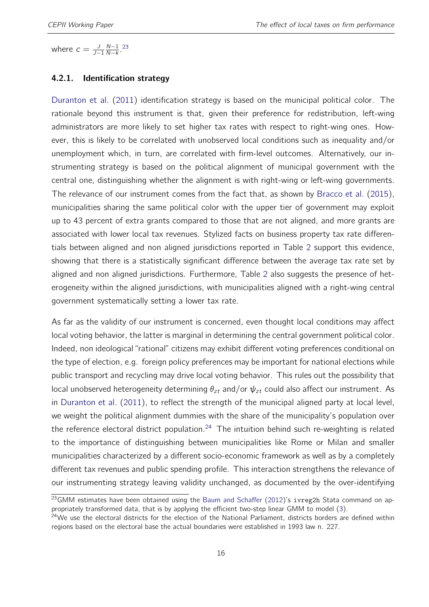where  $c = \frac{J}{1 - J}$  $J-1$  $N-1$  $\frac{N-1}{N-k}$ .<sup>[23](#page-2-0)</sup>

# <span id="page-15-0"></span>4.2.1. Identification strategy

[Duranton et al.](#page-22-0) [\(2011\)](#page-22-0) identification strategy is based on the municipal political color. The rationale beyond this instrument is that, given their preference for redistribution, left-wing administrators are more likely to set higher tax rates with respect to right-wing ones. However, this is likely to be correlated with unobserved local conditions such as inequality and/or unemployment which, in turn, are correlated with firm-level outcomes. Alternatively, our instrumenting strategy is based on the political alignment of municipal government with the central one, distinguishing whether the alignment is with right-wing or left-wing governments. The relevance of our instrument comes from the fact that, as shown by [Bracco et al.](#page-22-9) [\(2015\)](#page-22-9), municipalities sharing the same political color with the upper tier of government may exploit up to 43 percent of extra grants compared to those that are not aligned, and more grants are associated with lower local tax revenues. Stylized facts on business property tax rate differentials between aligned and non aligned jurisdictions reported in Table [2](#page-25-1) support this evidence, showing that there is a statistically significant difference between the average tax rate set by aligned and non aligned jurisdictions. Furthermore, Table [2](#page-25-1) also suggests the presence of heterogeneity within the aligned jurisdictions, with municipalities aligned with a right-wing central government systematically setting a lower tax rate.

As far as the validity of our instrument is concerned, even thought local conditions may affect local voting behavior, the latter is marginal in determining the central government political color. Indeed, non ideological "rational" citizens may exhibit different voting preferences conditional on the type of election, e.g. foreign policy preferences may be important for national elections while public transport and recycling may drive local voting behavior. This rules out the possibility that local unobserved heterogeneity determining  $\theta_{zt}$  and/or  $\psi_{zt}$  could also affect our instrument. As in [Duranton et al.](#page-22-0) [\(2011\)](#page-22-0), to reflect the strength of the municipal aligned party at local level, we weight the political alignment dummies with the share of the municipality's population over the reference electoral district population.<sup>[24](#page-2-0)</sup> The intuition behind such re-weighting is related to the importance of distinguishing between municipalities like Rome or Milan and smaller municipalities characterized by a different socio-economic framework as well as by a completely different tax revenues and public spending profile. This interaction strengthens the relevance of our instrumenting strategy leaving validity unchanged, as documented by the over-identifying

 $23$ GMM estimates have been obtained using the [Baum and Schaffer](#page-22-10) [\(2012\)](#page-22-10)'s ivreg2h Stata command on appropriately transformed data, that is by applying the efficient two-step linear GMM to model [\(3\)](#page-11-1).

<sup>&</sup>lt;sup>24</sup>We use the electoral districts for the election of the National Parliament, districts borders are defined within regions based on the electoral base the actual boundaries were established in 1993 law n. 227.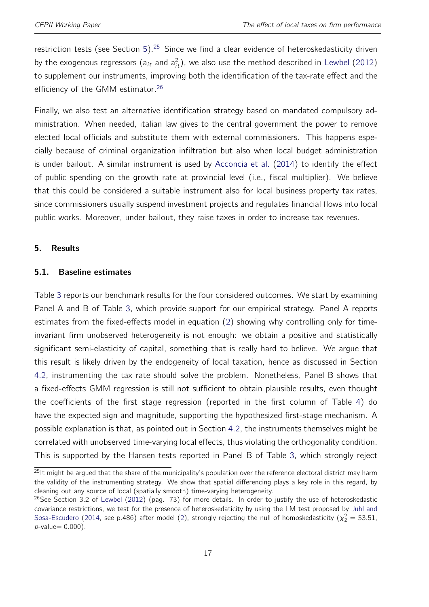restriction tests (see Section [5\)](#page-16-0). $25$  Since we find a clear evidence of heteroskedasticity driven by the exogenous regressors ( $a_{it}$  and  $a_{it}^2$ ), we also use the method described in [Lewbel](#page-23-8) [\(2012\)](#page-23-8) to supplement our instruments, improving both the identification of the tax-rate effect and the efficiency of the GMM estimator.<sup>[26](#page-2-0)</sup>

Finally, we also test an alternative identification strategy based on mandated compulsory administration. When needed, italian law gives to the central government the power to remove elected local officials and substitute them with external commissioners. This happens especially because of criminal organization infiltration but also when local budget administration is under bailout. A similar instrument is used by [Acconcia et al.](#page-22-11) [\(2014\)](#page-22-11) to identify the effect of public spending on the growth rate at provincial level (i.e., fiscal multiplier). We believe that this could be considered a suitable instrument also for local business property tax rates, since commissioners usually suspend investment projects and regulates financial flows into local public works. Moreover, under bailout, they raise taxes in order to increase tax revenues.

## <span id="page-16-0"></span>5. Results

## 5.1. Baseline estimates

Table [3](#page-26-0) reports our benchmark results for the four considered outcomes. We start by examining Panel A and B of Table [3,](#page-26-0) which provide support for our empirical strategy. Panel A reports estimates from the fixed-effects model in equation [\(2\)](#page-11-0) showing why controlling only for timeinvariant firm unobserved heterogeneity is not enough: we obtain a positive and statistically significant semi-elasticity of capital, something that is really hard to believe. We argue that this result is likely driven by the endogeneity of local taxation, hence as discussed in Section [4.2,](#page-10-1) instrumenting the tax rate should solve the problem. Nonetheless, Panel B shows that a fixed-effects GMM regression is still not sufficient to obtain plausible results, even thought the coefficients of the first stage regression (reported in the first column of Table [4\)](#page-26-1) do have the expected sign and magnitude, supporting the hypothesized first-stage mechanism. A possible explanation is that, as pointed out in Section [4.2,](#page-10-1) the instruments themselves might be correlated with unobserved time-varying local effects, thus violating the orthogonality condition. This is supported by the Hansen tests reported in Panel B of Table [3,](#page-26-0) which strongly reject

 $25$ It might be argued that the share of the municipality's population over the reference electoral district may harm the validity of the instrumenting strategy. We show that spatial differencing plays a key role in this regard, by cleaning out any source of local (spatially smooth) time-varying heterogeneity.

 $26$ See Section 3.2 of [Lewbel](#page-23-8) [\(2012\)](#page-23-8) (pag. 73) for more details. In order to justify the use of heteroskedastic covariance restrictions, we test for the presence of heteroskedaticity by using the LM test proposed by [Juhl and](#page-23-9) [Sosa-Escudero](#page-23-9) [\(2014,](#page-23-9) see p.486) after model [\(2\)](#page-11-0), strongly rejecting the null of homoskedasticity ( $\chi^2_2 = 53.51$ ,  $p$ -value= 0.000).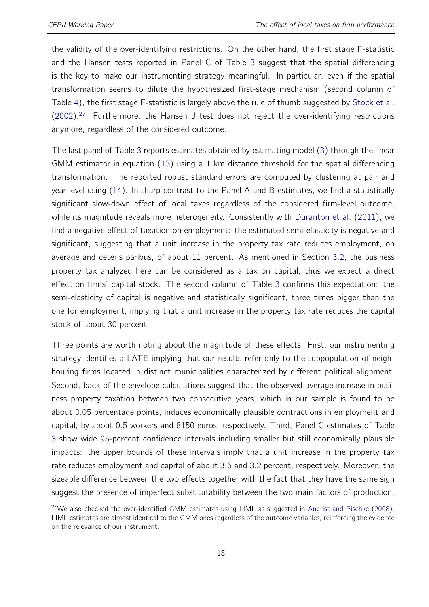the validity of the over-identifying restrictions. On the other hand, the first stage F-statistic and the Hansen tests reported in Panel C of Table [3](#page-26-0) suggest that the spatial differencing is the key to make our instrumenting strategy meaningful. In particular, even if the spatial transformation seems to dilute the hypothesized first-stage mechanism (second column of Table [4\)](#page-26-1), the first stage F-statistic is largely above the rule of thumb suggested by [Stock et al.](#page-23-10)  $(2002).^{27}$  $(2002).^{27}$  $(2002).^{27}$  $(2002).^{27}$  Furthermore, the Hansen J test does not reject the over-identifying restrictions anymore, regardless of the considered outcome.

The last panel of Table [3](#page-26-0) reports estimates obtained by estimating model [\(3\)](#page-11-1) through the linear GMM estimator in equation [\(13\)](#page-14-0) using a 1 km distance threshold for the spatial differencing transformation. The reported robust standard errors are computed by clustering at pair and year level using [\(14\)](#page-14-1). In sharp contrast to the Panel A and B estimates, we find a statistically significant slow-down effect of local taxes regardless of the considered firm-level outcome, while its magnitude reveals more heterogeneity. Consistently with [Duranton et al.](#page-22-0) [\(2011\)](#page-22-0), we find a negative effect of taxation on employment: the estimated semi-elasticity is negative and significant, suggesting that a unit increase in the property tax rate reduces employment, on average and ceteris paribus, of about 11 percent. As mentioned in Section [3.2,](#page-7-0) the business property tax analyzed here can be considered as a tax on capital, thus we expect a direct effect on firms' capital stock. The second column of Table [3](#page-26-0) confirms this expectation: the semi-elasticity of capital is negative and statistically significant, three times bigger than the one for employment, implying that a unit increase in the property tax rate reduces the capital stock of about 30 percent.

Three points are worth noting about the magnitude of these effects. First, our instrumenting strategy identifies a LATE implying that our results refer only to the subpopulation of neighbouring firms located in distinct municipalities characterized by different political alignment. Second, back-of-the-envelope calculations suggest that the observed average increase in business property taxation between two consecutive years, which in our sample is found to be about 0.05 percentage points, induces economically plausible contractions in employment and capital, by about 0.5 workers and 8150 euros, respectively. Third, Panel C estimates of Table [3](#page-26-0) show wide 95-percent confidence intervals including smaller but still economically plausible impacts: the upper bounds of these intervals imply that a unit increase in the property tax rate reduces employment and capital of about 3.6 and 3.2 percent, respectively. Moreover, the sizeable difference between the two effects together with the fact that they have the same sign suggest the presence of imperfect substitutability between the two main factors of production.

 $27$ We also checked the over-identified GMM estimates using LIML as suggested in [Angrist and Pischke](#page-22-12) [\(2008\)](#page-22-12). LIML estimates are almost identical to the GMM ones regardless of the outcome variables, reinforcing the evidence on the relevance of our instrument.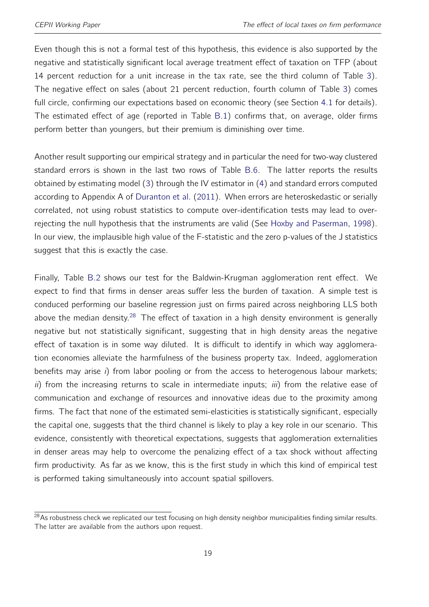Even though this is not a formal test of this hypothesis, this evidence is also supported by the negative and statistically significant local average treatment effect of taxation on TFP (about 14 percent reduction for a unit increase in the tax rate, see the third column of Table [3\)](#page-26-0). The negative effect on sales (about 21 percent reduction, fourth column of Table [3\)](#page-26-0) comes full circle, confirming our expectations based on economic theory (see Section [4.1](#page-9-0) for details). The estimated effect of age (reported in Table [B.1\)](#page-32-0) confirms that, on average, older firms perform better than youngers, but their premium is diminishing over time.

Another result supporting our empirical strategy and in particular the need for two-way clustered standard errors is shown in the last two rows of Table [B.6.](#page-34-0) The latter reports the results obtained by estimating model [\(3\)](#page-11-1) through the IV estimator in [\(4\)](#page-11-2) and standard errors computed according to Appendix A of [Duranton et al.](#page-22-0) [\(2011\)](#page-22-0). When errors are heteroskedastic or serially correlated, not using robust statistics to compute over-identification tests may lead to overrejecting the null hypothesis that the instruments are valid (See [Hoxby and Paserman,](#page-23-11) [1998\)](#page-23-11). In our view, the implausible high value of the F-statistic and the zero p-values of the J statistics suggest that this is exactly the case.

Finally, Table [B.2](#page-32-1) shows our test for the Baldwin-Krugman agglomeration rent effect. We expect to find that firms in denser areas suffer less the burden of taxation. A simple test is conduced performing our baseline regression just on firms paired across neighboring LLS both above the median density.<sup>[28](#page-2-0)</sup> The effect of taxation in a high density environment is generally negative but not statistically significant, suggesting that in high density areas the negative effect of taxation is in some way diluted. It is difficult to identify in which way agglomeration economies alleviate the harmfulness of the business property tax. Indeed, agglomeration benefits may arise  $\hat{\theta}$  from labor pooling or from the access to heterogenous labour markets;  $ii)$  from the increasing returns to scale in intermediate inputs;  $iii)$  from the relative ease of communication and exchange of resources and innovative ideas due to the proximity among firms. The fact that none of the estimated semi-elasticities is statistically significant, especially the capital one, suggests that the third channel is likely to play a key role in our scenario. This evidence, consistently with theoretical expectations, suggests that agglomeration externalities in denser areas may help to overcome the penalizing effect of a tax shock without affecting firm productivity. As far as we know, this is the first study in which this kind of empirical test is performed taking simultaneously into account spatial spillovers.

<sup>&</sup>lt;sup>28</sup>As robustness check we replicated our test focusing on high density neighbor municipalities finding similar results. The latter are available from the authors upon request.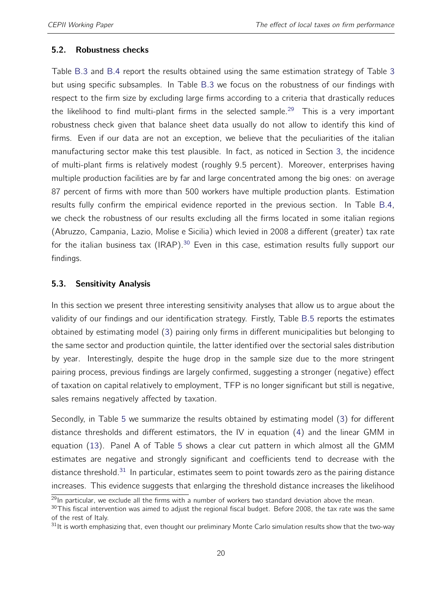#### 5.2. Robustness checks

Table [B.3](#page-33-0) and [B.4](#page-33-1) report the results obtained using the same estimation strategy of Table [3](#page-26-0) but using specific subsamples. In Table [B.3](#page-33-0) we focus on the robustness of our findings with respect to the firm size by excluding large firms according to a criteria that drastically reduces the likelihood to find multi-plant firms in the selected sample.<sup>[29](#page-2-0)</sup> This is a very important robustness check given that balance sheet data usually do not allow to identify this kind of firms. Even if our data are not an exception, we believe that the peculiarities of the italian manufacturing sector make this test plausible. In fact, as noticed in Section [3,](#page-6-0) the incidence of multi-plant firms is relatively modest (roughly 9.5 percent). Moreover, enterprises having multiple production facilities are by far and large concentrated among the big ones: on average 87 percent of firms with more than 500 workers have multiple production plants. Estimation results fully confirm the empirical evidence reported in the previous section. In Table [B.4,](#page-33-1) we check the robustness of our results excluding all the firms located in some italian regions (Abruzzo, Campania, Lazio, Molise e Sicilia) which levied in 2008 a different (greater) tax rate for the italian business tax (IRAP).<sup>[30](#page-2-0)</sup> Even in this case, estimation results fully support our findings.

#### 5.3. Sensitivity Analysis

In this section we present three interesting sensitivity analyses that allow us to argue about the validity of our findings and our identification strategy. Firstly, Table [B.5](#page-33-2) reports the estimates obtained by estimating model [\(3\)](#page-11-1) pairing only firms in different municipalities but belonging to the same sector and production quintile, the latter identified over the sectorial sales distribution by year. Interestingly, despite the huge drop in the sample size due to the more stringent pairing process, previous findings are largely confirmed, suggesting a stronger (negative) effect of taxation on capital relatively to employment, TFP is no longer significant but still is negative, sales remains negatively affected by taxation.

Secondly, in Table [5](#page-27-0) we summarize the results obtained by estimating model [\(3\)](#page-11-1) for different distance thresholds and different estimators, the IV in equation [\(4\)](#page-11-2) and the linear GMM in equation [\(13\)](#page-14-0). Panel A of Table [5](#page-27-0) shows a clear cut pattern in which almost all the GMM estimates are negative and strongly significant and coefficients tend to decrease with the distance threshold.<sup>[31](#page-2-0)</sup> In particular, estimates seem to point towards zero as the pairing distance increases. This evidence suggests that enlarging the threshold distance increases the likelihood

 $^{29}$ In particular, we exclude all the firms with a number of workers two standard deviation above the mean.

 $30$ This fiscal intervention was aimed to adjust the regional fiscal budget. Before 2008, the tax rate was the same of the rest of Italy.

 $31$ It is worth emphasizing that, even thought our preliminary Monte Carlo simulation results show that the two-way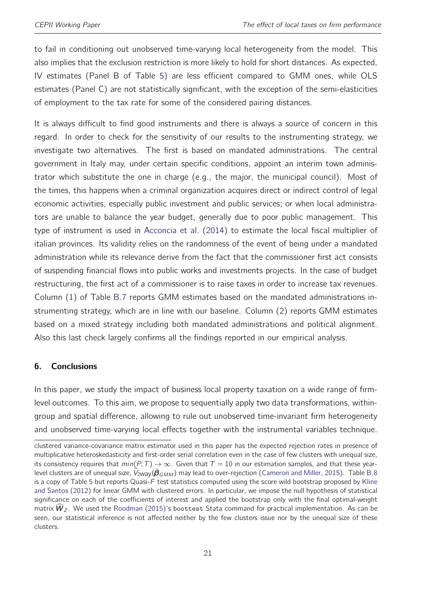to fail in conditioning out unobserved time-varying local heterogeneity from the model. This also implies that the exclusion restriction is more likely to hold for short distances. As expected, IV estimates (Panel B of Table [5\)](#page-27-0) are less efficient compared to GMM ones, while OLS estimates (Panel C) are not statistically significant, with the exception of the semi-elasticities of employment to the tax rate for some of the considered pairing distances.

It is always difficult to find good instruments and there is always a source of concern in this regard. In order to check for the sensitivity of our results to the instrumenting strategy, we investigate two alternatives. The first is based on mandated administrations. The central government in Italy may, under certain specific conditions, appoint an interim town administrator which substitute the one in charge (e.g., the major, the municipal council). Most of the times, this happens when a criminal organization acquires direct or indirect control of legal economic activities, especially public investment and public services; or when local administrators are unable to balance the year budget, generally due to poor public management. This type of instrument is used in [Acconcia et al.](#page-22-11) [\(2014\)](#page-22-11) to estimate the local fiscal multiplier of italian provinces. Its validity relies on the randomness of the event of being under a mandated administration while its relevance derive from the fact that the commissioner first act consists of suspending financial flows into public works and investments projects. In the case of budget restructuring, the first act of a commissioner is to raise taxes in order to increase tax revenues. Column (1) of Table [B.7](#page-34-1) reports GMM estimates based on the mandated administrations instrumenting strategy, which are in line with our baseline. Column (2) reports GMM estimates based on a mixed strategy including both mandated administrations and political alignment. Also this last check largely confirms all the findings reported in our empirical analysis.

# 6. Conclusions

In this paper, we study the impact of business local property taxation on a wide range of firmlevel outcomes. To this aim, we propose to sequentially apply two data transformations, withingroup and spatial difference, allowing to rule out unobserved time-invariant firm heterogeneity and unobserved time-varying local effects together with the instrumental variables technique.

clustered variance-covariance matrix estimator used in this paper has the expected rejection rates in presence of multiplicative heteroskedasticity and first-order serial correlation even in the case of few clusters with unequal size, its consistency requires that  $min(P, T) \rightarrow \infty$ . Given that  $T = 10$  in our estimation samples, and that these yearlevel clusters are of unequal size,  $\widehat{V}_{2\text{way}}(\hat{\boldsymbol{\beta}}_{GMM})$  may lead to over-rejection [\(Cameron and Miller,](#page-22-2) [2015\)](#page-22-2). Table [B.8](#page-35-0) is a copy of Table [5](#page-27-0) but reports Quasi-F test statistics computed using the score wild bootstrap proposed by [Kline](#page-23-12) [and Santos](#page-23-12) [\(2012\)](#page-23-12) for linear GMM with clustered errors. In particular, we impose the null hypothesis of statistical significance on each of the coefficients of interest and applied the bootstrap only with the final optimal-weight matrix  $\widehat{W}_Z$ . We used the [Roodman](#page-23-13) [\(2015\)](#page-23-13)'s boottest Stata command for practical implementation. As can be seen, our statistical inference is not affected neither by the few clusters issue nor by the unequal size of these clusters.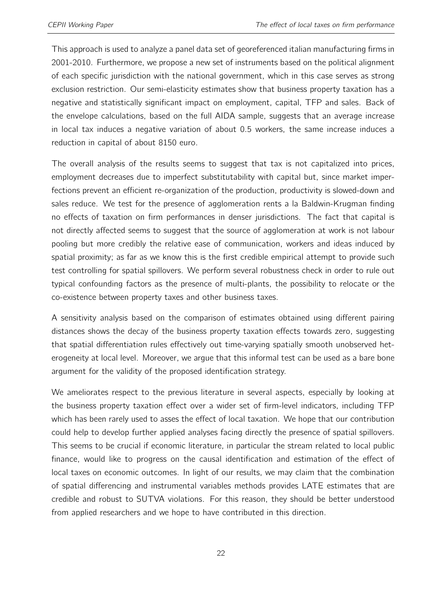This approach is used to analyze a panel data set of georeferenced italian manufacturing firms in 2001-2010. Furthermore, we propose a new set of instruments based on the political alignment of each specific jurisdiction with the national government, which in this case serves as strong exclusion restriction. Our semi-elasticity estimates show that business property taxation has a negative and statistically significant impact on employment, capital, TFP and sales. Back of the envelope calculations, based on the full AIDA sample, suggests that an average increase in local tax induces a negative variation of about 0.5 workers, the same increase induces a reduction in capital of about 8150 euro.

The overall analysis of the results seems to suggest that tax is not capitalized into prices, employment decreases due to imperfect substitutability with capital but, since market imperfections prevent an efficient re-organization of the production, productivity is slowed-down and sales reduce. We test for the presence of agglomeration rents a la Baldwin-Krugman finding no effects of taxation on firm performances in denser jurisdictions. The fact that capital is not directly affected seems to suggest that the source of agglomeration at work is not labour pooling but more credibly the relative ease of communication, workers and ideas induced by spatial proximity; as far as we know this is the first credible empirical attempt to provide such test controlling for spatial spillovers. We perform several robustness check in order to rule out typical confounding factors as the presence of multi-plants, the possibility to relocate or the co-existence between property taxes and other business taxes.

A sensitivity analysis based on the comparison of estimates obtained using different pairing distances shows the decay of the business property taxation effects towards zero, suggesting that spatial differentiation rules effectively out time-varying spatially smooth unobserved heterogeneity at local level. Moreover, we argue that this informal test can be used as a bare bone argument for the validity of the proposed identification strategy.

We ameliorates respect to the previous literature in several aspects, especially by looking at the business property taxation effect over a wider set of firm-level indicators, including TFP which has been rarely used to asses the effect of local taxation. We hope that our contribution could help to develop further applied analyses facing directly the presence of spatial spillovers. This seems to be crucial if economic literature, in particular the stream related to local public finance, would like to progress on the causal identification and estimation of the effect of local taxes on economic outcomes. In light of our results, we may claim that the combination of spatial differencing and instrumental variables methods provides LATE estimates that are credible and robust to SUTVA violations. For this reason, they should be better understood from applied researchers and we hope to have contributed in this direction.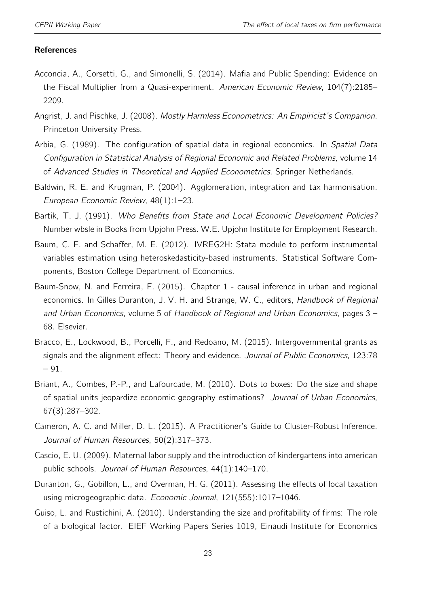# References

- <span id="page-22-11"></span>Acconcia, A., Corsetti, G., and Simonelli, S. (2014). Mafia and Public Spending: Evidence on the Fiscal Multiplier from a Quasi-experiment. American Economic Review, 104(7):2185– 2209.
- <span id="page-22-12"></span>Angrist, J. and Pischke, J. (2008). Mostly Harmless Econometrics: An Empiricist's Companion. Princeton University Press.
- <span id="page-22-5"></span>Arbia, G. (1989). The configuration of spatial data in regional economics. In Spatial Data Configuration in Statistical Analysis of Regional Economic and Related Problems, volume 14 of Advanced Studies in Theoretical and Applied Econometrics. Springer Netherlands.
- <span id="page-22-4"></span>Baldwin, R. E. and Krugman, P. (2004). Agglomeration, integration and tax harmonisation. European Economic Review, 48(1):1–23.
- <span id="page-22-1"></span>Bartik, T. J. (1991). Who Benefits from State and Local Economic Development Policies? Number wbsle in Books from Upjohn Press. W.E. Upjohn Institute for Employment Research.
- <span id="page-22-10"></span>Baum, C. F. and Schaffer, M. E. (2012). IVREG2H: Stata module to perform instrumental variables estimation using heteroskedasticity-based instruments. Statistical Software Components, Boston College Department of Economics.
- <span id="page-22-8"></span>Baum-Snow, N. and Ferreira, F. (2015). Chapter 1 - causal inference in urban and regional economics. In Gilles Duranton, J. V. H. and Strange, W. C., editors, Handbook of Regional and Urban Economics, volume 5 of Handbook of Regional and Urban Economics, pages 3 – 68. Elsevier.
- <span id="page-22-9"></span>Bracco, E., Lockwood, B., Porcelli, F., and Redoano, M. (2015). Intergovernmental grants as signals and the alignment effect: Theory and evidence. Journal of Public Economics, 123:78 – 91.
- <span id="page-22-6"></span>Briant, A., Combes, P.-P., and Lafourcade, M. (2010). Dots to boxes: Do the size and shape of spatial units jeopardize economic geography estimations? Journal of Urban Economics, 67(3):287–302.
- <span id="page-22-2"></span>Cameron, A. C. and Miller, D. L. (2015). A Practitioner's Guide to Cluster-Robust Inference. Journal of Human Resources, 50(2):317–373.
- <span id="page-22-7"></span>Cascio, E. U. (2009). Maternal labor supply and the introduction of kindergartens into american public schools. Journal of Human Resources, 44(1):140–170.
- <span id="page-22-0"></span>Duranton, G., Gobillon, L., and Overman, H. G. (2011). Assessing the effects of local taxation using microgeographic data. Economic Journal, 121(555):1017–1046.
- <span id="page-22-3"></span>Guiso, L. and Rustichini, A. (2010). Understanding the size and profitability of firms: The role of a biological factor. EIEF Working Papers Series 1019, Einaudi Institute for Economics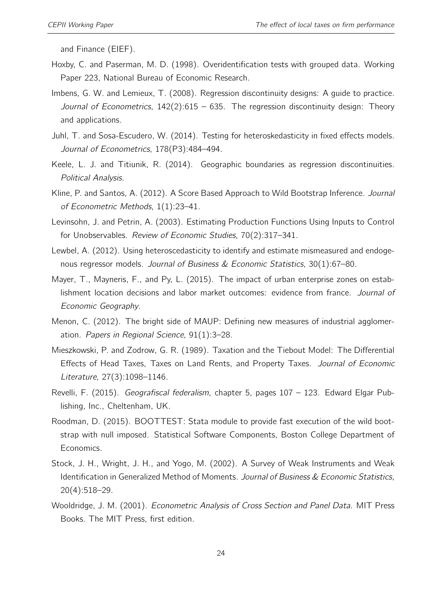and Finance (EIEF).

- <span id="page-23-11"></span>Hoxby, C. and Paserman, M. D. (1998). Overidentification tests with grouped data. Working Paper 223, National Bureau of Economic Research.
- <span id="page-23-6"></span>Imbens, G. W. and Lemieux, T. (2008). Regression discontinuity designs: A guide to practice. Journal of Econometrics,  $142(2)$ :615 – 635. The regression discontinuity design: Theory and applications.
- <span id="page-23-9"></span>Juhl, T. and Sosa-Escudero, W. (2014). Testing for heteroskedasticity in fixed effects models. Journal of Econometrics, 178(P3):484–494.
- <span id="page-23-2"></span>Keele, L. J. and Titiunik, R. (2014). Geographic boundaries as regression discontinuities. Political Analysis.
- <span id="page-23-12"></span>Kline, P. and Santos, A. (2012). A Score Based Approach to Wild Bootstrap Inference. Journal of Econometric Methods, 1(1):23–41.
- <span id="page-23-4"></span>Levinsohn, J. and Petrin, A. (2003). Estimating Production Functions Using Inputs to Control for Unobservables. Review of Economic Studies, 70(2):317–341.
- <span id="page-23-8"></span>Lewbel, A. (2012). Using heteroscedasticity to identify and estimate mismeasured and endogenous regressor models. Journal of Business & Economic Statistics, 30(1):67–80.
- <span id="page-23-5"></span>Mayer, T., Mayneris, F., and Py, L. (2015). The impact of urban enterprise zones on establishment location decisions and labor market outcomes: evidence from france. Journal of Economic Geography.
- <span id="page-23-3"></span>Menon, C. (2012). The bright side of MAUP: Defining new measures of industrial agglomeration. Papers in Regional Science, 91(1):3–28.
- <span id="page-23-0"></span>Mieszkowski, P. and Zodrow, G. R. (1989). Taxation and the Tiebout Model: The Differential Effects of Head Taxes, Taxes on Land Rents, and Property Taxes. Journal of Economic Literature, 27(3):1098–1146.
- <span id="page-23-1"></span>Revelli, F. (2015). Geografiscal federalism, chapter 5, pages 107 - 123. Edward Elgar Publishing, Inc., Cheltenham, UK.
- <span id="page-23-13"></span>Roodman, D. (2015). BOOTTEST: Stata module to provide fast execution of the wild bootstrap with null imposed. Statistical Software Components, Boston College Department of Economics.
- <span id="page-23-10"></span>Stock, J. H., Wright, J. H., and Yogo, M. (2002). A Survey of Weak Instruments and Weak Identification in Generalized Method of Moments. Journal of Business & Economic Statistics, 20(4):518–29.
- <span id="page-23-7"></span>Wooldridge, J. M. (2001). Econometric Analysis of Cross Section and Panel Data. MIT Press Books. The MIT Press, first edition.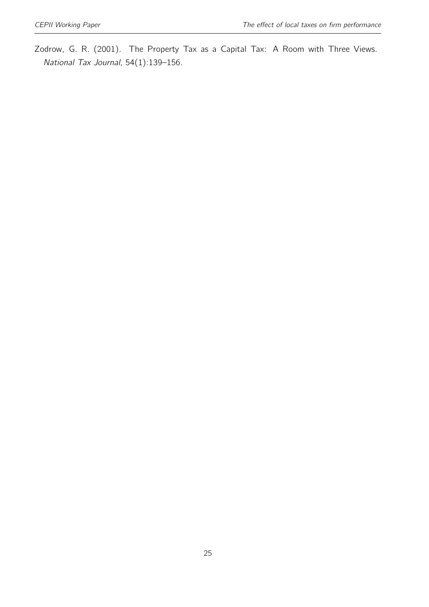<span id="page-24-0"></span>Zodrow, G. R. (2001). The Property Tax as a Capital Tax: A Room with Three Views. National Tax Journal, 54(1):139–156.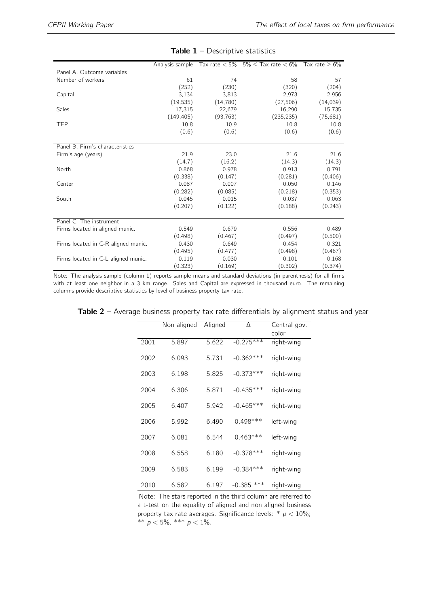<span id="page-25-0"></span>

|                                     | Analysis sample | Tax rate $< 5\%$ | $5\% \leq$ Tax rate $< 6\%$ | Tax rate $> 6\%$ |
|-------------------------------------|-----------------|------------------|-----------------------------|------------------|
| Panel A. Outcome variables          |                 |                  |                             |                  |
| Number of workers                   | 61              | 74               | 58                          | 57               |
|                                     | (252)           | (230)            | (320)                       | (204)            |
| Capital                             | 3,134           | 3,813            | 2,973                       | 2,956            |
|                                     | (19, 535)       | (14, 780)        | (27, 506)                   | (14, 039)        |
| Sales                               | 17,315          | 22,679           | 16,290                      | 15,735           |
|                                     | (149, 405)      | (93, 763)        | (235, 235)                  | (75, 681)        |
| <b>TFP</b>                          | 10.8            | 10.9             | 10.8                        | 10.8             |
|                                     | (0.6)           | (0.6)            | (0.6)                       | (0.6)            |
|                                     |                 |                  |                             |                  |
| Panel B. Firm's characteristics     |                 |                  |                             |                  |
| Firm's age (years)                  | 21.9            | 23.0             | 21.6                        | 21.6             |
|                                     | (14.7)          | (16.2)           | (14.3)                      | (14.3)           |
| North                               | 0.868           | 0.978            | 0.913                       | 0.791            |
|                                     | (0.338)         | (0.147)          | (0.281)                     | (0.406)          |
| Center                              | 0.087           | 0.007            | 0.050                       | 0.146            |
|                                     | (0.282)         | (0.085)          | (0.218)                     | (0.353)          |
| South                               | 0.045           | 0.015            | 0.037                       | 0.063            |
|                                     | (0.207)         | (0.122)          | (0.188)                     | (0.243)          |
|                                     |                 |                  |                             |                  |
| Panel C. The instrument             |                 |                  |                             |                  |
| Firms located in aligned munic.     | 0.549           | 0.679            | 0.556                       | 0.489            |
|                                     | (0.498)         | (0.467)          | (0.497)                     | (0.500)          |
| Firms located in C-R aligned munic. | 0.430           | 0.649            | 0.454                       | 0.321            |
|                                     | (0.495)         | (0.477)          | (0.498)                     | (0.467)          |
| Firms located in C-L aligned munic. | 0.119           | 0.030            | 0.101                       | 0.168            |
|                                     | (0.323)         | (0.169)          | (0.302)                     | (0.374)          |

Note: The analysis sample (column 1) reports sample means and standard deviations (in parenthesis) for all firms with at least one neighbor in a 3 km range. Sales and Capital are expressed in thousand euro. The remaining columns provide descriptive statistics by level of business property tax rate.

|      | Non aligned | Aligned | Δ             | Central gov.<br>color |
|------|-------------|---------|---------------|-----------------------|
| 2001 | 5.897       | 5.622   | $-0.275***$   | right-wing            |
| 2002 | 6.093       | 5.731   | $-0.362***$   | right-wing            |
| 2003 | 6.198       | 5.825   | $-0.373***$   | right-wing            |
| 2004 | 6.306       | 5.871   | $-0.435***$   | right-wing            |
| 2005 | 6.407       | 5.942   | $-0.465***$   | right-wing            |
| 2006 | 5.992       | 6.490   | $0.498***$    | left-wing             |
| 2007 | 6.081       | 6.544   | $0.463***$    | left-wing             |
| 2008 | 6.558       | 6.180   | $-0.378***$   | right-wing            |
| 2009 | 6.583       | 6.199   | $-0.384***$   | right-wing            |
| 2010 | 6.582       | 6.197   | ***<br>-0.385 | right-wing            |

<span id="page-25-1"></span>**Table 2** – Average business property tax rate differentials by alignment status and year

Note: The stars reported in the third column are referred to a t-test on the equality of aligned and non aligned business property tax rate averages. Significance levels:  $*$   $p < 10\%$ ; \*\*  $p < 5\%$ , \*\*\*  $p < 1\%$ .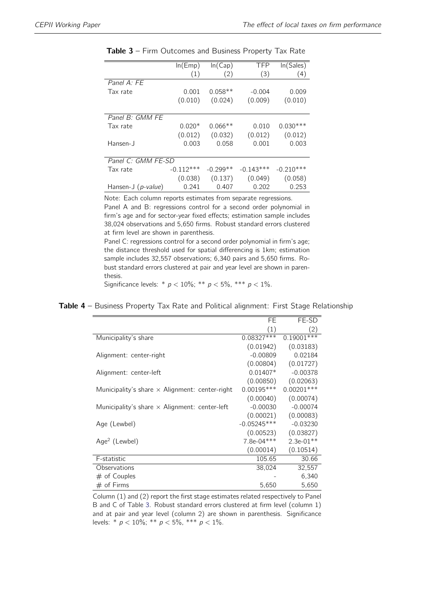|                    | ln(Emp)     | ln(Cap)    | <b>TFP</b>  | In(Sales)   |
|--------------------|-------------|------------|-------------|-------------|
|                    | (1)         | (2)        | (3)         | (4)         |
| Panel A: FE        |             |            |             |             |
| Tax rate           | 0.001       | $0.058**$  | $-0.004$    | 0.009       |
|                    | (0.010)     | (0.024)    | (0.009)     | (0.010)     |
|                    |             |            |             |             |
| Panel B: GMM FE    |             |            |             |             |
| Tax rate           | $0.020*$    | $0.066**$  | 0.010       | $0.030***$  |
|                    | (0.012)     | (0.032)    | (0.012)     | (0.012)     |
| Hansen-J           | 0.003       | 0.058      | 0.001       | 0.003       |
|                    |             |            |             |             |
| Panel C: GMM FE-SD |             |            |             |             |
| Tax rate           | $-0.112***$ | $-0.299**$ | $-0.143***$ | $-0.210***$ |
|                    | (0.038)     | (0.137)    | (0.049)     | (0.058)     |
| Hansen-J (p-value) | 0.241       | 0.407      | 0.202       | 0.253       |

<span id="page-26-0"></span>Table 3 - Firm Outcomes and Business Property Tax Rate

Note: Each column reports estimates from separate regressions. Panel A and B: regressions control for a second order polynomial in firm's age and for sector-year fixed effects; estimation sample includes 38,024 observations and 5,650 firms. Robust standard errors clustered at firm level are shown in parenthesis.

Panel C: regressions control for a second order polynomial in firm's age; the distance threshold used for spatial differencing is 1km; estimation sample includes 32,557 observations; 6,340 pairs and 5,650 firms. Robust standard errors clustered at pair and year level are shown in parenthesis.

Significance levels: \*  $p < 10\%$ ; \*\*  $p < 5\%$ , \*\*\*  $p < 1\%$ .

<span id="page-26-1"></span>Table 4 – Business Property Tax Rate and Political alignment: First Stage Relationship

|                                                       | FE            | FE-SD        |
|-------------------------------------------------------|---------------|--------------|
|                                                       | (1)           | (2)          |
| Municipality's share                                  | $0.08327***$  | $0.19001***$ |
|                                                       | (0.01942)     | (0.03183)    |
| Alignment: center-right                               | $-0.00809$    | 0.02184      |
|                                                       | (0.00804)     | (0.01727)    |
| Alignment: center-left                                | $0.01407*$    | $-0.00378$   |
|                                                       | (0.00850)     | (0.02063)    |
| Municipality's share $\times$ Alignment: center-right | $0.00195***$  | $0.00201***$ |
|                                                       | (0.00040)     | (0.00074)    |
| Municipality's share $\times$ Alignment: center-left  | $-0.00030$    | $-0.00074$   |
|                                                       | (0.00021)     | (0.00083)    |
| Age (Lewbel)                                          | $-0.05245***$ | $-0.03230$   |
|                                                       | (0.00523)     | (0.03827)    |
| Age <sup>2</sup> (Lewbel)                             | $7.8e-04***$  | $2.3e-01**$  |
|                                                       | (0.00014)     | (0.10514)    |
| F-statistic                                           | 105.65        | 30.66        |
| Observations                                          | 38,024        | 32,557       |
| $#$ of Couples                                        |               | 6,340        |
| $#$ of Firms                                          | 5,650         | 5,650        |

Column (1) and (2) report the first stage estimates related respectively to Panel B and C of Table [3.](#page-26-0) Robust standard errors clustered at firm level (column 1) and at pair and year level (column 2) are shown in parenthesis. Significance levels: \*  $p < 10\%$ ; \*\*  $p < 5\%$ , \*\*\*  $p < 1\%$ .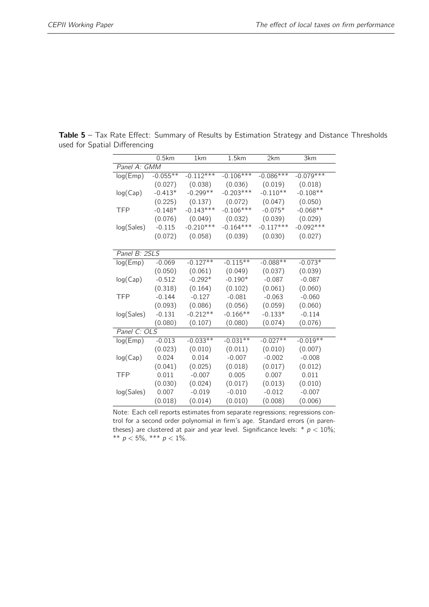|               | 0.5km      | 1 <sub>km</sub> | 1.5km       | 2km         | 3km         |
|---------------|------------|-----------------|-------------|-------------|-------------|
| Panel A: GMM  |            |                 |             |             |             |
| log(Emp)      | $-0.055**$ | $-0.112***$     | $-0.106***$ | $-0.086***$ | $-0.079***$ |
|               | (0.027)    | (0.038)         | (0.036)     | (0.019)     | (0.018)     |
| log(Cap)      | $-0.413*$  | $-0.299**$      | $-0.203***$ | $-0.110**$  | $-0.108**$  |
|               | (0.225)    | (0.137)         | (0.072)     | (0.047)     | (0.050)     |
| <b>TFP</b>    | $-0.148*$  | $-0.143***$     | $-0.106***$ | $-0.075*$   | $-0.068**$  |
|               | (0.076)    | (0.049)         | (0.032)     | (0.039)     | (0.029)     |
| log(Sales)    | $-0.115$   | $-0.210***$     | $-0.164***$ | $-0.117***$ | $-0.092***$ |
|               | (0.072)    | (0.058)         | (0.039)     | (0.030)     | (0.027)     |
|               |            |                 |             |             |             |
| Panel B: 2SLS |            |                 |             |             |             |
| log(Emp)      | $-0.069$   | $-0.127**$      | $-0.115**$  | $-0.088**$  | $-0.073*$   |
|               | (0.050)    | (0.061)         | (0.049)     | (0.037)     | (0.039)     |
| log(Cap)      | $-0.512$   | $-0.292*$       | $-0.190*$   | $-0.087$    | $-0.087$    |
|               | (0.318)    | (0.164)         | (0.102)     | (0.061)     | (0.060)     |
| <b>TFP</b>    | $-0.144$   | $-0.127$        | $-0.081$    | $-0.063$    | $-0.060$    |
|               | (0.093)    | (0.086)         | (0.056)     | (0.059)     | (0.060)     |
| log(Sales)    | $-0.131$   | $-0.212**$      | $-0.166**$  | $-0.133*$   | $-0.114$    |
|               | (0.080)    | (0.107)         | (0.080)     | (0.074)     | (0.076)     |
| Panel C: OLS  |            |                 |             |             |             |
| log(Emp)      | $-0.013$   | $-0.033**$      | $-0.031**$  | $-0.027**$  | $-0.019**$  |
|               | (0.023)    | (0.010)         | (0.011)     | (0.010)     | (0.007)     |
| log(Cap)      | 0.024      | 0.014           | $-0.007$    | $-0.002$    | $-0.008$    |
|               | (0.041)    | (0.025)         | (0.018)     | (0.017)     | (0.012)     |
| <b>TFP</b>    | 0.011      | $-0.007$        | 0.005       | 0.007       | 0.011       |
|               | (0.030)    | (0.024)         | (0.017)     | (0.013)     | (0.010)     |
| log(Sales)    | 0.007      | $-0.019$        | $-0.010$    | $-0.012$    | $-0.007$    |
|               | (0.018)    | (0.014)         | (0.010)     | (0.008)     | (0.006)     |

<span id="page-27-0"></span>Table 5 - Tax Rate Effect: Summary of Results by Estimation Strategy and Distance Thresholds used for Spatial Differencing

Note: Each cell reports estimates from separate regressions; regressions control for a second order polynomial in firm's age. Standard errors (in parentheses) are clustered at pair and year level. Significance levels:  $* p < 10\%$ ; \*\*  $p < 5\%$ , \*\*\*  $p < 1\%$ .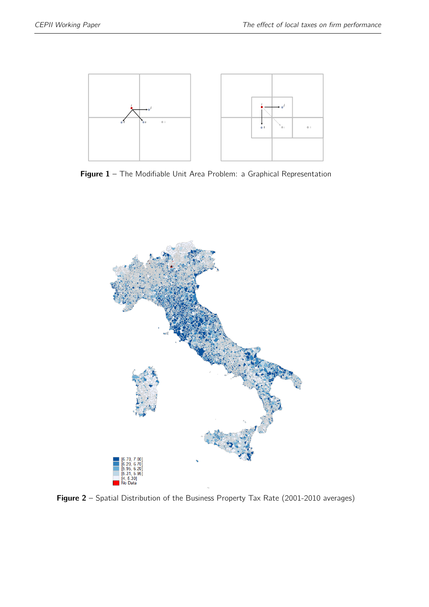<span id="page-28-0"></span>

Figure 1 – The Modifiable Unit Area Problem: a Graphical Representation

<span id="page-28-1"></span>

Figure 2 – Spatial Distribution of the Business Property Tax Rate (2001-2010 averages)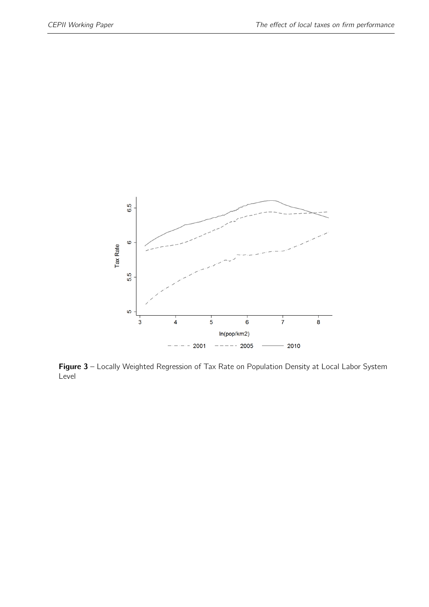<span id="page-29-0"></span>

Figure 3 - Locally Weighted Regression of Tax Rate on Population Density at Local Labor System Level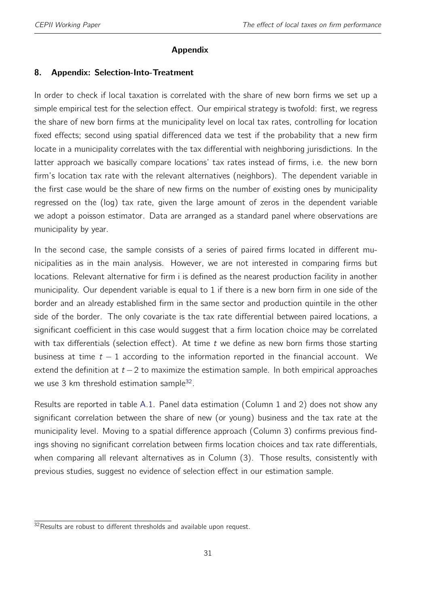# Appendix

# <span id="page-30-0"></span>8. Appendix: Selection-Into-Treatment

In order to check if local taxation is correlated with the share of new born firms we set up a simple empirical test for the selection effect. Our empirical strategy is twofold: first, we regress the share of new born firms at the municipality level on local tax rates, controlling for location fixed effects; second using spatial differenced data we test if the probability that a new firm locate in a municipality correlates with the tax differential with neighboring jurisdictions. In the latter approach we basically compare locations' tax rates instead of firms, i.e. the new born firm's location tax rate with the relevant alternatives (neighbors). The dependent variable in the first case would be the share of new firms on the number of existing ones by municipality regressed on the (log) tax rate, given the large amount of zeros in the dependent variable we adopt a poisson estimator. Data are arranged as a standard panel where observations are municipality by year.

In the second case, the sample consists of a series of paired firms located in different municipalities as in the main analysis. However, we are not interested in comparing firms but locations. Relevant alternative for firm i is defined as the nearest production facility in another municipality. Our dependent variable is equal to 1 if there is a new born firm in one side of the border and an already established firm in the same sector and production quintile in the other side of the border. The only covariate is the tax rate differential between paired locations, a significant coefficient in this case would suggest that a firm location choice may be correlated with tax differentials (selection effect). At time  $t$  we define as new born firms those starting business at time  $t - 1$  according to the information reported in the financial account. We extend the definition at  $t - 2$  to maximize the estimation sample. In both empirical approaches we use 3 km threshold estimation sample<sup>[32](#page-2-0)</sup>.

Results are reported in table [A.1.](#page-31-0) Panel data estimation (Column 1 and 2) does not show any significant correlation between the share of new (or young) business and the tax rate at the municipality level. Moving to a spatial difference approach (Column 3) confirms previous findings shoving no significant correlation between firms location choices and tax rate differentials, when comparing all relevant alternatives as in Column (3). Those results, consistently with previous studies, suggest no evidence of selection effect in our estimation sample.

<sup>&</sup>lt;sup>32</sup>Results are robust to different thresholds and available upon request.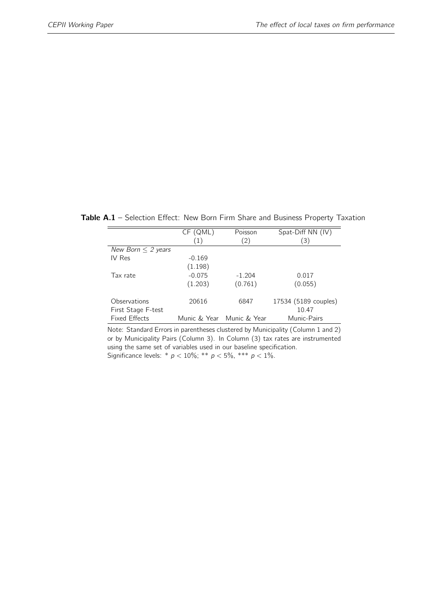|                         | CF (QML) | Poisson                   | Spat-Diff NN $(\overline{IV})$ |
|-------------------------|----------|---------------------------|--------------------------------|
|                         | (1)      | $^{\prime}2)$             | (3)                            |
| New Born $\leq$ 2 years |          |                           |                                |
| IV Res                  | $-0.169$ |                           |                                |
|                         | (1.198)  |                           |                                |
| Tax rate                | $-0.075$ | $-1.204$                  | 0.017                          |
|                         | (1.203)  | (0.761)                   | (0.055)                        |
| Observations            | 20616    | 6847                      | 17534 (5189 couples)           |
| First Stage F-test      |          |                           | 10.47                          |
| <b>Fixed Effects</b>    |          | Munic & Year Munic & Year | Munic-Pairs                    |

<span id="page-31-0"></span>Table A.1 - Selection Effect: New Born Firm Share and Business Property Taxation

Note: Standard Errors in parentheses clustered by Municipality (Column 1 and 2) or by Municipality Pairs (Column 3). In Column (3) tax rates are instrumented using the same set of variables used in our baseline specification. Significance levels: \*  $p < 10\%$ ; \*\*  $p < 5\%$ , \*\*\*  $p < 1\%$ .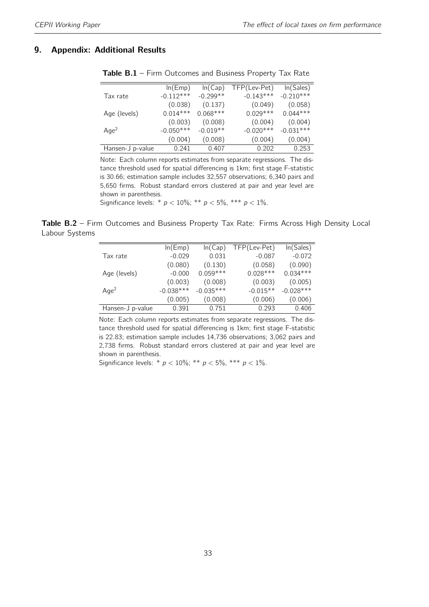#### <span id="page-32-0"></span>9. Appendix: Additional Results

|                  | ln(Emp)     | ln(Cap)    | TFP(Lev-Pet) | ln(Sales)   |
|------------------|-------------|------------|--------------|-------------|
| Tax rate         | $-0.112***$ | $-0.299**$ | $-0.143***$  | $-0.210***$ |
|                  | (0.038)     | (0.137)    | (0.049)      | (0.058)     |
| Age (levels)     | $0.014***$  | $0.068***$ | $0.029***$   | $0.044***$  |
|                  | (0.003)     | (0.008)    | (0.004)      | (0.004)     |
| Age <sup>2</sup> | $-0.050***$ | $-0.019**$ | $-0.020***$  | $-0.031***$ |
|                  | (0.004)     | (0.008)    | (0.004)      | (0.004)     |
| Hansen-J p-value | 0.241       | 0.407      | 0.202        | 0.253       |

Table B.1 – Firm Outcomes and Business Property Tax Rate

Note: Each column reports estimates from separate regressions. The distance threshold used for spatial differencing is 1km; first stage F-statistic is 30.66; estimation sample includes 32,557 observations; 6,340 pairs and 5,650 firms. Robust standard errors clustered at pair and year level are shown in parenthesis.

Significance levels: \*  $p < 10\%$ ; \*\*  $p < 5\%$ , \*\*\*  $p < 1\%$ .

<span id="page-32-1"></span>Table B.2 - Firm Outcomes and Business Property Tax Rate: Firms Across High Density Local Labour Systems

|                  | ln(Emp)     | ln(Cap)     | TFP(Lev-Pet) | In(Sales)   |
|------------------|-------------|-------------|--------------|-------------|
| Tax rate         | $-0.029$    | 0.031       | $-0.087$     | $-0.072$    |
|                  | (0.080)     | (0.130)     | (0.058)      | (0.090)     |
| Age (levels)     | $-0.000$    | $0.059***$  | $0.028***$   | $0.034***$  |
|                  | (0.003)     | (0.008)     | (0.003)      | (0.005)     |
| Age <sup>2</sup> | $-0.038***$ | $-0.035***$ | $-0.015**$   | $-0.028***$ |
|                  | (0.005)     | (0.008)     | (0.006)      | (0.006)     |
| Hansen-J p-value | 0.391       | 0.751       | 0.293        | 0.406       |

Note: Each column reports estimates from separate regressions. The distance threshold used for spatial differencing is 1km; first stage F-statistic is 22.83; estimation sample includes 14,736 observations; 3,062 pairs and 2,738 firms. Robust standard errors clustered at pair and year level are shown in parenthesis.

Significance levels: \*  $p < 10\%$ ; \*\*  $p < 5\%$ , \*\*\*  $p < 1\%$ .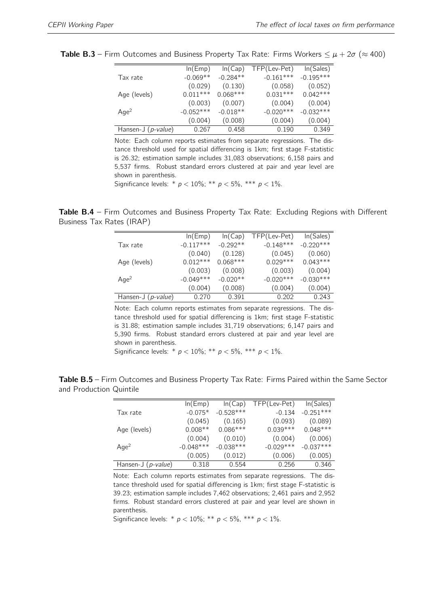|                    | ln(Emp)     | ln(Cap)    | TFP(Lev-Pet) | ln(Sales)   |
|--------------------|-------------|------------|--------------|-------------|
| Tax rate           | $-0.069**$  | $-0.284**$ | $-0.161***$  | $-0.195***$ |
|                    | (0.029)     | (0.130)    | (0.058)      | (0.052)     |
| Age (levels)       | $0.011***$  | $0.068***$ | $0.031***$   | $0.042***$  |
|                    | (0.003)     | (0.007)    | (0.004)      | (0.004)     |
| Age <sup>2</sup>   | $-0.052***$ | $-0.018**$ | $-0.020***$  | $-0.032***$ |
|                    | (0.004)     | (0.008)    | (0.004)      | (0.004)     |
| Hansen-J (p-value) | 0.267       | 0.458      | 0.190        | 0.349       |

<span id="page-33-0"></span>**Table B.3** – Firm Outcomes and Business Property Tax Rate: Firms Workers  $\lt \mu + 2\sigma$  ( $\approx 400$ )

Note: Each column reports estimates from separate regressions. The distance threshold used for spatial differencing is 1km; first stage F-statistic is 26.32; estimation sample includes 31,083 observations; 6,158 pairs and 5,537 firms. Robust standard errors clustered at pair and year level are shown in parenthesis.

Significance levels: \*  $p < 10\%$ ; \*\*  $p < 5\%$ , \*\*\*  $p < 1\%$ .

<span id="page-33-1"></span>Table B.4 – Firm Outcomes and Business Property Tax Rate: Excluding Regions with Different Business Tax Rates (IRAP)

|                    | ln(Emp)     | ln(Cap)    | TFP(Lev-Pet) | In(Sales)   |
|--------------------|-------------|------------|--------------|-------------|
| Tax rate           | $-0.117***$ | $-0.292**$ | $-0.148***$  | $-0.220***$ |
|                    | (0.040)     | (0.128)    | (0.045)      | (0.060)     |
| Age (levels)       | $0.012***$  | $0.068***$ | $0.029***$   | $0.043***$  |
|                    | (0.003)     | (0.008)    | (0.003)      | (0.004)     |
| Age <sup>2</sup>   | $-0.049***$ | $-0.020**$ | $-0.020***$  | $-0.030***$ |
|                    | (0.004)     | (0.008)    | (0.004)      | (0.004)     |
| Hansen-J (p-value) | 0.270       | 0.391      | 0.202        | 0.243       |

Note: Each column reports estimates from separate regressions. The distance threshold used for spatial differencing is 1km; first stage F-statistic is 31.88; estimation sample includes 31,719 observations; 6,147 pairs and 5,390 firms. Robust standard errors clustered at pair and year level are shown in parenthesis.

Significance levels: \*  $p < 10\%$ ; \*\*  $p < 5\%$ , \*\*\*  $p < 1\%$ .

<span id="page-33-2"></span>Table B.5 – Firm Outcomes and Business Property Tax Rate: Firms Paired within the Same Sector and Production Quintile

|                      | ln(Emp)     | ln(Cap)     | TFP(Lev-Pet) | In(Sales)   |
|----------------------|-------------|-------------|--------------|-------------|
| Tax rate             | $-0.075*$   | $-0.528***$ | $-0.134$     | $-0.251***$ |
|                      | (0.045)     | (0.165)     | (0.093)      | (0.089)     |
| Age (levels)         | $0.008**$   | $0.086***$  | $0.039***$   | $0.048***$  |
|                      | (0.004)     | (0.010)     | (0.004)      | (0.006)     |
| Age <sup>2</sup>     | $-0.048***$ | $-0.038***$ | $-0.029***$  | $-0.037***$ |
|                      | (0.005)     | (0.012)     | (0.006)      | (0.005)     |
| Hansen-J $(p-value)$ | 0.318       | 0.554       | 0.256        | 0.346       |

Note: Each column reports estimates from separate regressions. The distance threshold used for spatial differencing is 1km; first stage F-statistic is 39.23; estimation sample includes 7,462 observations; 2,461 pairs and 2,952 firms. Robust standard errors clustered at pair and year level are shown in parenthesis.

Significance levels: \*  $p < 10\%$ ; \*\*  $p < 5\%$ , \*\*\*  $p < 1\%$ .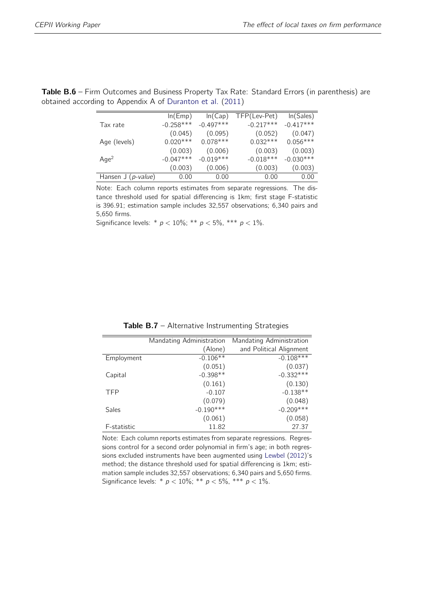|                     | ln(Emp)     | ln(Cap)     | TFP(Lev-Pet) | In(Sales)   |
|---------------------|-------------|-------------|--------------|-------------|
| Tax rate            | $-0.258***$ | $-0.497***$ | $-0.217***$  | $-0.417***$ |
|                     | (0.045)     | (0.095)     | (0.052)      | (0.047)     |
| Age (levels)        | $0.020***$  | $0.078***$  | $0.032***$   | $0.056***$  |
|                     | (0.003)     | (0.006)     | (0.003)      | (0.003)     |
| Age <sup>2</sup>    | $-0.047***$ | $-0.019***$ | $-0.018***$  | $-0.030***$ |
|                     | (0.003)     | (0.006)     | (0.003)      | (0.003)     |
| Hansen $J(p-value)$ | 0.00        | 0.00        | 0.00         | 0.00        |

<span id="page-34-0"></span>Table B.6 – Firm Outcomes and Business Property Tax Rate: Standard Errors (in parenthesis) are obtained according to Appendix A of [Duranton et al.](#page-22-0) [\(2011\)](#page-22-0)

> Note: Each column reports estimates from separate regressions. The distance threshold used for spatial differencing is 1km; first stage F-statistic is 396.91; estimation sample includes 32,557 observations; 6,340 pairs and 5,650 firms.

Significance levels: \*  $p < 10\%$ ; \*\*  $p < 5\%$ , \*\*\*  $p < 1\%$ .

<span id="page-34-1"></span>

| Mandating Administration | Mandating Administration |
|--------------------------|--------------------------|
| (Alone)                  | and Political Alignment  |
| $-0.106**$               | $-0.108***$              |
| (0.051)                  | (0.037)                  |
| $-0.398**$               | $-0.332***$              |
| (0.161)                  | (0.130)                  |
| $-0.107$                 | $-0.138**$               |
| (0.079)                  | (0.048)                  |
| $-0.190***$              | $-0.209***$              |
| (0.061)                  | (0.058)                  |
| 11.82                    | 27.37                    |
|                          |                          |

**Table B.7** – Alternative Instrumenting Strategies

Note: Each column reports estimates from separate regressions. Regressions control for a second order polynomial in firm's age; in both regressions excluded instruments have been augmented using [Lewbel](#page-23-8) [\(2012\)](#page-23-8)'s method; the distance threshold used for spatial differencing is 1km; estimation sample includes 32,557 observations; 6,340 pairs and 5,650 firms. Significance levels: \*  $p < 10\%$ ; \*\*  $p < 5\%$ , \*\*\*  $p < 1\%$ .